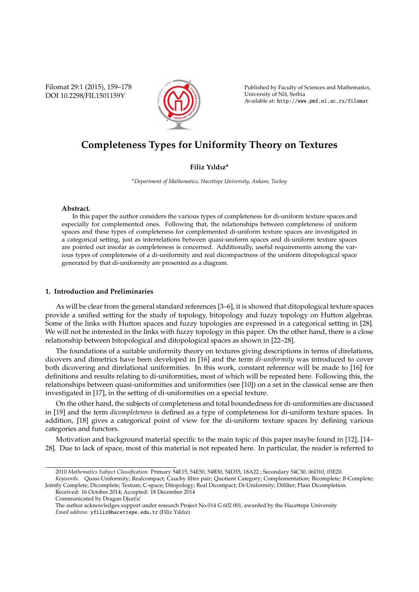Filomat 29:1 (2015), 159–178 DOI 10.2298/FIL1501159Y



Published by Faculty of Sciences and Mathematics, University of Niš, Serbia Available at: http://www.pmf.ni.ac.rs/filomat

# **Completeness Types for Uniformity Theory on Textures**

# **Filiz Yıldız<sup>a</sup>**

*<sup>a</sup>Department of Mathematics, Hacettepe University, Ankara, Turkey*

## **Abstract.**

In this paper the author considers the various types of completeness for di-uniform texture spaces and especially for complemented ones. Following that, the relationships between completeness of uniform spaces and these types of completeness for complemented di-uniform texture spaces are investigated in a categorical setting, just as interrelations between quasi-uniform spaces and di-uniform texture spaces are pointed out insofar as completeness is concerned. Additionally, useful requirements among the various types of completeness of a di-uniformity and real dicompactness of the uniform ditopological space generated by that di-uniformity are presented as a diagram.

## **1. Introduction and Preliminaries**

As will be clear from the general standard references [3–6], it is showed that ditopological texture spaces provide a unified setting for the study of topology, bitopology and fuzzy topology on Hutton algebras. Some of the links with Hutton spaces and fuzzy topologies are expressed in a categorical setting in [28]. We will not be interested in the links with fuzzy topology in this paper. On the other hand, there is a close relationship between bitopological and ditopological spaces as shown in [22–28].

The foundations of a suitable uniformity theory on textures giving descriptions in terms of direlations, dicovers and dimetrics have been developed in [16] and the term *di-uniformity* was introduced to cover both dicovering and direlational uniformities. In this work, constant reference will be made to [16] for definitions and results relating to di-uniformities, most of which will be repeated here. Following this, the relationships between quasi-uniformities and uniformities (see [10]) on a set in the classical sense are then investigated in [17], in the setting of di-uniformities on a special texture.

On the other hand, the subjects of completeness and total boundedness for di-uniformities are discussed in [19] and the term *dicompleteness* is defined as a type of completeness for di-uniform texture spaces. In addition, [18] gives a categorical point of view for the di-uniform texture spaces by defining various categories and functors.

Motivation and background material specific to the main topic of this paper maybe found in [12], [14– 28]. Due to lack of space, most of this material is not repeated here. In particular, the reader is referred to

<sup>2010</sup> *Mathematics Subject Classification*. Primary 54E15, 54E50, 54B30, 54D35, 18A22 ; Secondary 54C30, 06D10, 03E20. *Keywords*. Quasi-Uniformity; Realcompact; Cauchy filter pair; Quotient Category; Complementation; Bicomplete; *B*-Complete;

Jointly Complete; Dicomplete; Texture; C-space; Ditopology; Real Dicompact; Di-Uniformity; Difilter; Plain Dicompletion. Received: 16 October 2014; Accepted: 18 December 2014

Communicated by Dragan Djurčić

The author acknowledges support under research Project No.014 G 602 001, awarded by the Hacettepe University *Email address:* yfiliz@hacettepe.edu.tr (Filiz Yıldız)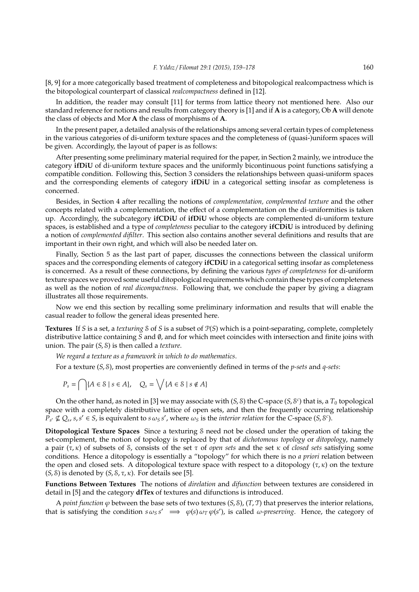[8, 9] for a more categorically based treatment of completeness and bitopological realcompactness which is the bitopological counterpart of classical *realcompactness* defined in [12].

In addition, the reader may consult [11] for terms from lattice theory not mentioned here. Also our standard reference for notions and results from category theory is [1] and if **A** is a category, Ob **A** will denote the class of objects and Mor **A** the class of morphisms of **A**.

In the present paper, a detailed analysis of the relationships among several certain types of completeness in the various categories of di-uniform texture spaces and the completeness of (quasi-)uniform spaces will be given. Accordingly, the layout of paper is as follows:

After presenting some preliminary material required for the paper, in Section 2 mainly, we introduce the category **ifDiU** of di-uniform texture spaces and the uniformly bicontinuous point functions satisfying a compatible condition. Following this, Section 3 considers the relationships between quasi-uniform spaces and the corresponding elements of category **ifDiU** in a categorical setting insofar as completeness is concerned.

Besides, in Section 4 after recalling the notions of *complementation, complemented texture* and the other concepts related with a complementation, the effect of a complementation on the di-uniformities is taken up. Accordingly, the subcategory **ifCDiU** of **ifDiU** whose objects are complemented di-uniform texture spaces, is established and a type of *completeness* peculiar to the category **ifCDiU** is introduced by defining a notion of *complemented difilter*. This section also contains another several definitions and results that are important in their own right, and which will also be needed later on.

Finally, Section 5 as the last part of paper, discusses the connections between the classical uniform spaces and the corresponding elements of category **ifCDiU** in a categorical setting insofar as completeness is concerned. As a result of these connections, by defining the various *types of completeness* for di-uniform texture spaces we proved some useful ditopological requirements which contain these types of completeness as well as the notion of *real dicompactness*. Following that, we conclude the paper by giving a diagram illustrates all those requirements.

Now we end this section by recalling some preliminary information and results that will enable the casual reader to follow the general ideas presented here.

**Textures** If *S* is a set, a *texturing* S of *S* is a subset of P(*S*) which is a point-separating, complete, completely distributive lattice containing *S* and ∅, and for which meet coincides with intersection and finite joins with union. The pair (*S*, S) is then called a *texture*.

*We regard a texture as a framework in which to do mathematics*.

For a texture (*S*, S), most properties are conveniently defined in terms of the *p-sets* and *q-sets*:

$$
P_s = \bigcap \{ A \in \mathcal{S} \mid s \in A \}, \quad Q_s = \bigvee \{ A \in \mathcal{S} \mid s \notin A \}
$$

On the other hand, as noted in [3] we may associate with  $(S, \delta)$  the C-space  $(S, \delta^c)$  that is, a  $T_0$  topological space with a completely distributive lattice of open sets, and then the frequently occurring relationship  $P_{s'} \nsubseteq Q_s$ ,  $s, s' \in S$ , is equivalent to  $s \omega_S s'$ , where  $\omega_S$  is the *interior relation* for the *C*-space  $(S, S^c)$ .

**Ditopological Texture Spaces** Since a texturing S need not be closed under the operation of taking the set-complement, the notion of topology is replaced by that of *dichotomous topology* or *ditopology*, namely a pair (τ, κ) of subsets of S, consists of the set τ of *open sets* and the set κ of *closed sets* satisfying some conditions. Hence a ditopology is essentially a "topology" for which there is no *a priori* relation between the open and closed sets. A ditopological texture space with respect to a ditopology  $(\tau, \kappa)$  on the texture (*S*, *S*) is denoted by  $(S, S, \tau, \kappa)$ . For details see [5].

**Functions Between Textures** The notions of *direlation* and *difunction* between textures are considered in detail in [5] and the category **dfTex** of textures and difunctions is introduced.

A *point function*  $\varphi$  between the base sets of two textures (*S*, *S*), (*T*, *T*) that preserves the interior relations, that is satisfying the condition  $s \omega_S s' \implies \varphi(s) \omega_T \varphi(s')$ , is called  $\omega$ -preserving. Hence, the category of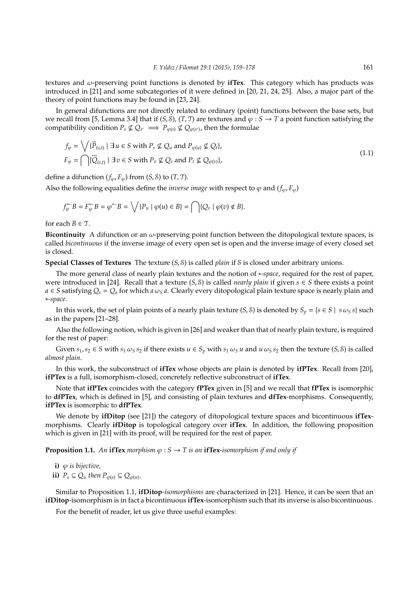textures and ω-preserving point functions is denoted by **ifTex**. This category which has products was introduced in [21] and some subcategories of it were defined in [20, 21, 24, 25]. Also, a major part of the theory of point functions may be found in [23, 24].

In general difunctions are not directly related to ordinary (point) functions between the base sets, but we recall from [5, Lemma 3.4] that if  $(S, S)$ ,  $(T, T)$  are textures and  $\varphi : S \to T$  a point function satisfying the compatibility condition  $P_s \nsubseteq Q_{s'} \implies P_{\varphi(s)} \nsubseteq Q_{\varphi(s')}$ , then the formulae

$$
f_{\varphi} = \bigvee \{ \overline{P}_{(s,t)} \mid \exists u \in S \text{ with } P_s \nsubseteq Q_u \text{ and } P_{\varphi(u)} \nsubseteq Q_t \},
$$
  

$$
F_{\varphi} = \bigcap \{ \overline{Q}_{(s,t)} \mid \exists v \in S \text{ with } P_v \nsubseteq Q_s \text{ and } P_t \nsubseteq Q_{\varphi(v)} \},
$$
\n(1.1)

define a difunction  $(f_\varphi, F_\varphi)$  from  $(S, \mathcal{S})$  to  $(T, \mathcal{T})$ .

Also the following equalities define the *inverse image* with respect to  $\varphi$  and  $(f_{\varphi}, F_{\varphi})$ 

$$
f_{\varphi}^{\leftarrow}B=F_{\varphi}^{\leftarrow}B=\varphi^{\leftarrow}B=\bigvee\{P_{u} \mid \varphi(u)\in B\}=\bigcap\{Q_{v} \mid \varphi(v)\notin B\}.
$$

for each  $B \in \mathcal{T}$ .

**Bicontinuity** A difunction or an  $\omega$ -preserving point function between the ditopological texture spaces, is called *bicontinuous* if the inverse image of every open set is open and the inverse image of every closed set is closed.

**Special Classes of Textures** The texture (*S*, S) is called *plain* if S is closed under arbitrary unions.

The more general class of nearly plain textures and the notion of ∗*-space*, required for the rest of paper, were introduced in [24]. Recall that a texture  $(S, S)$  is called *nearly plain* if given  $s \in S$  there exists a point  $a \in S$  satisfying  $Q_s = Q_a$  for which  $a \omega_s a$ . Clearly every ditopological plain texture space is nearly plain and ∗*-space*.

In this work, the set of plain points of a nearly plain texture (*S*, *S*) is denoted by  $S_p = \{s \in S \mid s \omega_s s\}$  such as in the papers [21–28].

Also the following notion, which is given in [26] and weaker than that of nearly plain texture, is required for the rest of paper:

Given  $s_1, s_2 \in S$  with  $s_1 \omega_S s_2$  if there exists  $u \in S_p$  with  $s_1 \omega_S u$  and  $u \omega_S s_2$  then the texture  $(S, S)$  is called *almost plain*.

In this work, the subconstruct of **ifTex** whose objects are plain is denoted by **ifPTex**. Recall from [20], **ifPTex** is a full, isomorphism-closed, concretely reflective subconstruct of **ifTex**.

Note that **ifPTex** coincides with the category **fPTex** given in [5] and we recall that **fPTex** is isomorphic to **dfPTex**, which is defined in [5], and consisting of plain textures and **dfTex**-morphisms. Consequently, **ifPTex** is isomorphic to **dfPTex**.

We denote by **ifDitop** (see [21]) the category of ditopological texture spaces and bicontinuous **ifTex**morphisms. Clearly **ifDitop** is topological category over **ifTex**. In addition, the following proposition which is given in [21] with its proof, will be required for the rest of paper.

**Proposition 1.1.** An **ifTex** morphism  $\varphi$  :  $S \to T$  is an **ifTex**-isomorphism if and only if

**i)** ϕ *is bijective,* **ii)**  $P_s \subseteq Q_u$  then  $P_{\varphi(s)} \subseteq Q_{\varphi(u)}$ .

Similar to Proposition 1.1, **ifDitop***-isomorphisms* are characterized in [21]. Hence, it can be seen that an **ifDitop**-isomorphism is in fact a bicontinuous **ifTex**-isomorphism such that its inverse is also bicontinuous.

For the benefit of reader, let us give three useful examples: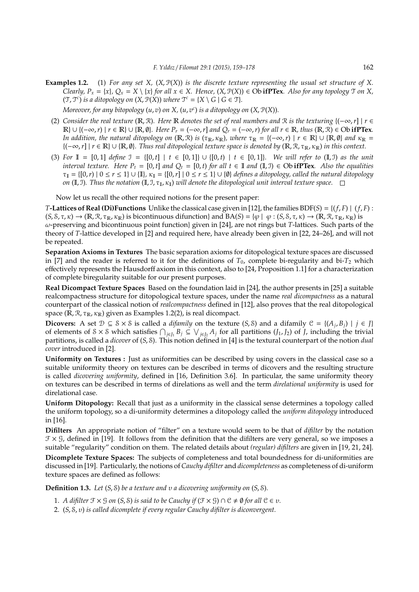**Examples 1.2.** (1) *For any set X,* (*X*, P(*X*)) *is the discrete texture representing the usual set structure of X. Clearly, P<sub>x</sub>* = {*x*},  $Q_x = X \setminus \{x\}$  *for all*  $x \in X$ *. Hence,*  $(X, \mathcal{P}(X)) \in \text{Ob}$  **ifPTex***. Also for any topology*  $\mathcal{T}$  *on* X,  $(\mathfrak{T}, \mathfrak{T}^c)$  *is a ditopology on*  $(X, \mathfrak{P}(X))$  *where*  $\mathfrak{T}^c = \{X \setminus G \mid G \in \mathfrak{T}\}.$ 

*Moreover, for any bitopology* (*u*, *v*) *on X,* (*u*, *v c* ) *is a ditopology on* (*X*, P(*X*))*.*

- (2) *Consider the real texture* (R, R)*. Here* R *denotes the set of real numbers and* R *is the texturing* {(−∞,*r*] | *r* ∈  $\mathbb{R}$  ∪ { $(-\infty, r) \mid r \in \mathbb{R}$  ∪ { $\mathbb{R}, \emptyset$ }*. Here P<sub>r</sub>* =  $(-\infty, r]$  *and Q<sub>r</sub>* =  $(-\infty, r)$  *for all r*  $\in \mathbb{R}$ *, thus* ( $\mathbb{R}, \mathbb{R}$ )  $\in$  Ob **ifPTex***. In addition, the natural ditopology on*  $(\mathbb{R}, \mathcal{R})$  *is*  $(\tau_{\mathbb{R}}, \kappa_{\mathbb{R}})$ *, where*  $\tau_{\mathbb{R}} = {(-\infty, r) | r \in \mathbb{R} \cup {\mathbb{R}, \emptyset}$  *and*  $\kappa_{\mathbb{R}} =$ {(−∞,*r*] | *r* ∈ R} ∪ {R, ∅}*. Thus real ditopological texture space is denoted by* (R, R, τR, κR) *in this context.*
- (3) For  $\mathbb{I} = [0, 1]$  define  $\mathbb{I} = \{[0, t] \mid t \in [0, 1]\} \cup \{[0, t] \mid t \in [0, 1]\}$ *. We will refer to*  $(\mathbb{I}, \mathbb{I})$  as the unit *interval texture. Here P<sub>t</sub>* = [0, *t*] *and*  $Q_t$  = [0, *t*) *for all*  $t \in \mathbb{I}$  *and*  $(\mathbb{I}, \mathbb{J}) \in \mathbb{O}$ **b ifPTex***. Also the equalities*  $\tau_{\mathbb{I}} = \{ [0,r) \mid 0 \le r \le 1 \} \cup \{ \mathbb{I} \}, \kappa_{\mathbb{I}} = \{ [0,r] \mid 0 \le r \le 1 \} \cup \{ \emptyset \}$  *defines a ditopology, called the natural ditopology on* (I, J). Thus the notation (I, J,  $\tau_{\rm I}$ ,  $\kappa_{\rm I}$ ) will denote the ditopological unit interval texture space.  $\Box$

Now let us recall the other required notions for the present paper:

*T***-Lattices of Real (Di)Functions** Unlike the classical case given in [12], the families BDF(*S*) = {(*f*, *F*) | (*f*, *F*) :  $(S, S, \tau, \kappa) \to (\mathbb{R}, \mathbb{R}, \tau_{\mathbb{R}}, \kappa_{\mathbb{R}})$  is bicontinuous difunction} and  $BA(S) = {\varphi \mid \varphi : (S, S, \tau, \kappa) \to (\mathbb{R}, \mathbb{R}, \tau_{\mathbb{R}}, \kappa_{\mathbb{R}})}$  is ω-preserving and bicontinuous point function} given in [24], are not rings but *T*-lattices. Such parts of the theory of *T*-lattice developed in [2] and required here, have already been given in [22, 24–26], and will not be repeated.

**Separation Axioms in Textures** The basic separation axioms for ditopological texture spaces are discussed in [7] and the reader is referred to it for the definitions of  $T_0$ , complete bi-regularity and bi- $T_2$  which effectively represents the Hausdorff axiom in this context, also to [24, Proposition 1.1] for a characterization of complete biregularity suitable for our present purposes.

**Real Dicompact Texture Spaces** Based on the foundation laid in [24], the author presents in [25] a suitable realcompactness structure for ditopological texture spaces, under the name *real dicompactness* as a natural counterpart of the classical notion of *realcompactness* defined in [12], also proves that the real ditopological space ( $\mathbb{R}, \mathbb{R}, \tau_{\mathbb{R}}, \kappa_{\mathbb{R}}$ ) given as Examples 1.2(2), is real dicompact.

**Dicovers:** A set  $\mathcal{D} \subseteq \mathcal{S} \times \mathcal{S}$  is called a *difamily* on the texture (*S*, *S*) and a difamily  $\mathcal{C} = \{(A_j, B_j) | j \in J\}$ of elements of  $S \times S$  which satisfies  $\bigcap_{j \in J_1} B_j \subseteq \bigvee_{j \in J_2} A_j$  for all partitions  $(J_1, J_2)$  of  $J$ , including the trivial partitions, is called a *dicover* of (*S*, S). This notion defined in [4] is the textural counterpart of the notion *dual cover* introduced in [2].

**Uniformity on Textures :** Just as uniformities can be described by using covers in the classical case so a suitable uniformity theory on textures can be described in terms of dicovers and the resulting structure is called *dicovering uniformity*, defined in [16, Definition 3.6]. In particular, the same uniformity theory on textures can be described in terms of direlations as well and the term *direlational uniformity* is used for direlational case.

**Uniform Ditopology:** Recall that just as a uniformity in the classical sense determines a topology called the uniform topology, so a di-uniformity determines a ditopology called the *uniform ditopology* introduced in [16].

**Difilters** An appropriate notion of "filter" on a texture would seem to be that of *difilter* by the notation  $\mathcal{F} \times \mathcal{G}$ , defined in [19]. It follows from the definition that the difilters are very general, so we imposes a suitable "regularity" condition on them. The related details about *(regular) difilters* are given in [19, 21, 24].

**Dicomplete Texture Spaces:** The subjects of completeness and total boundedness for di-uniformities are discussed in [19]. Particularly, the notions of *Cauchy difilter* and *dicompleteness* as completeness of di-uniform texture spaces are defined as follows:

**Definition 1.3.** *Let* (*S*, S) *be a texture and* υ *a dicovering uniformity on* (*S*, S)*.*

- 1. *A difilter*  $\mathcal{F} \times \mathcal{G}$  *on* (*S*,  $\mathcal{S}$ ) *is said to be Cauchy if* ( $\mathcal{F} \times \mathcal{G}$ )  $\cap \mathcal{C} \neq \emptyset$  *for all*  $\mathcal{C} \in \mathcal{V}$ *.*
- 2. (*S*, S, υ) *is called dicomplete if every regular Cauchy difilter is diconvergent.*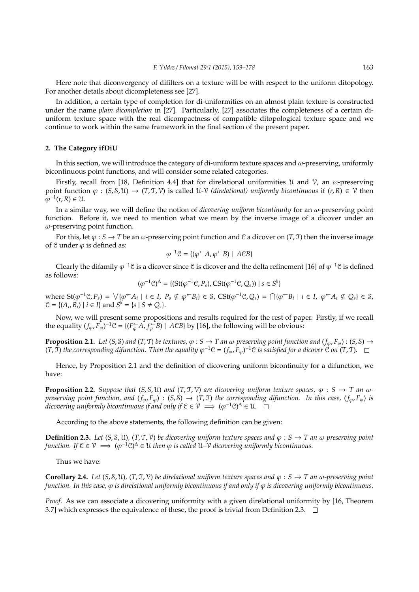Here note that diconvergency of difilters on a texture will be with respect to the uniform ditopology. For another details about dicompleteness see [27].

In addition, a certain type of completion for di-uniformities on an almost plain texture is constructed under the name *plain dicompletion* in [27]. Particularly, [27] associates the completeness of a certain diuniform texture space with the real dicompactness of compatible ditopological texture space and we continue to work within the same framework in the final section of the present paper.

# **2. The Category ifDiU**

In this section, we will introduce the category of di-uniform texture spaces and  $\omega$ -preserving, uniformly bicontinuous point functions, and will consider some related categories.

Firstly, recall from [18, Definition 4.4] that for direlational uniformities U and V, an  $\omega$ -preserving point function  $\varphi$  : (*S*, *S*, U)  $\rightarrow$  (*T*, *T*, *V*) is called U-*V* (*direlational*) *uniformly bicontinuous* if (*r*, *R*)  $\in$  *V* then  $\varphi^{-1}(r, R) \in \mathcal{U}.$ 

In a similar way, we will define the notion of *dicovering uniform bicontinuity* for an ω-preserving point function. Before it, we need to mention what we mean by the inverse image of a dicover under an  $\omega$ -preserving point function.

For this, let  $\varphi$  : *S*  $\rightarrow$  *T* be an  $\omega$ -preserving point function and C a dicover on (*T*, *T*) then the inverse image of  $\mathfrak C$  under  $\varphi$  is defined as:

$$
\varphi^{-1}\mathcal{C} = \{(\varphi^{\leftarrow}A, \varphi^{\leftarrow}B) \mid A\mathcal{C}B\}
$$

Clearly the difamily  $\varphi^{-1}$ C is a dicover since C is dicover and the delta refinement [16] of  $\varphi^{-1}$ C is defined as follows:

$$
(\varphi^{-1}\mathcal{C})^{\Delta} = \{(\mathrm{St}(\varphi^{-1}\mathcal{C}, P_s), \mathrm{CSt}(\varphi^{-1}\mathcal{C}, Q_s)) \mid s \in S^{\flat}\}\
$$

where  $St(\varphi^{-1} \mathcal{C}, P_s) = \bigvee \{\varphi \subset A_i \mid i \in I, P_s \nsubseteq \varphi \subset B_i\} \in S$ ,  $CSt(\varphi^{-1} \mathcal{C}, Q_s) = \bigcap \{\varphi \subset B_i \mid i \in I, \varphi \subset A_i \nsubseteq Q_s\} \in S$ ,  $C = \{(A_i, B_i) \mid i \in I\}$  and  $S^{\flat} = \{s \mid S \neq Q_s\}.$ 

Now, we will present some propositions and results required for the rest of paper. Firstly, if we recall the equality  $(f_{\varphi}, F_{\varphi})^{-1}C = \{ (F_{\varphi} \leftrightarrow A, f_{\varphi} \leftrightarrow B) \mid ACB \}$  by [16], the following will be obvious:

**Proposition 2.1.** *Let* (*S*, *S*) *and* (*T*, *T*) *be textures*,  $\varphi$  : *S*  $\rightarrow$  *T an*  $\omega$ -preserving point function and ( $f_{\varphi}$ ,  $F_{\varphi}$ ) : (*S*, *S*)  $\rightarrow$  $(T, \overline{T})$  the corresponding difunction. Then the equality  $\varphi^{-1}C = (f_{\varphi}, F_{\varphi})^{-1}C$  is satisfied for a dicover  $\overline{C}$  on  $(T, \overline{T})$ .

Hence, by Proposition 2.1 and the definition of dicovering uniform bicontinuity for a difunction, we have:

**Proposition 2.2.** *Suppose that*  $(S, S, U)$  *and*  $(T, \mathcal{T}, V)$  *are dicovering uniform texture spaces,*  $\varphi : S \to T$  *an*  $\omega$ *preserving point function, and*  $(f_\varphi, F_\varphi) : (S, S) \to (T, T)$  *the corresponding difunction. In this case,*  $(f_\varphi, F_\varphi)$  *is* dicovering uniformly bicontinuous if and only if  $\mathcal{C}\in\mathcal{V}\implies (\varphi^{-1}\mathcal{C})^{\Delta}\in\mathcal{U}.$ 

According to the above statements, the following definition can be given:

**Definition 2.3.** *Let* (*S*, *S*, *U*), (*T*, *T*, *V*) *be dicovering uniform texture spaces and*  $\varphi$  : *S*  $\rightarrow$  *T* an  $\omega$ -preserving point *function.* If  $C \in V \implies (\varphi^{-1}C)^{\Delta} \in U$  then  $\varphi$  is called  $U-\nu$  dicovering uniformly bicontinuous.

Thus we have:

**Corollary 2.4.** *Let* (*S*, *S*, *U*)*,* (*T*, *T*, *V*) *be direlational uniform texture spaces and*  $\varphi$  *: <i>S*  $\rightarrow$  *T* an  $\omega$ -preserving point *function. In this case,* ϕ *is direlational uniformly bicontinuous if and only if* ϕ *is dicovering uniformly bicontinuous.*

*Proof.* As we can associate a dicovering uniformity with a given direlational uniformity by [16, Theorem 3.7] which expresses the equivalence of these, the proof is trivial from Definition 2.3.  $\Box$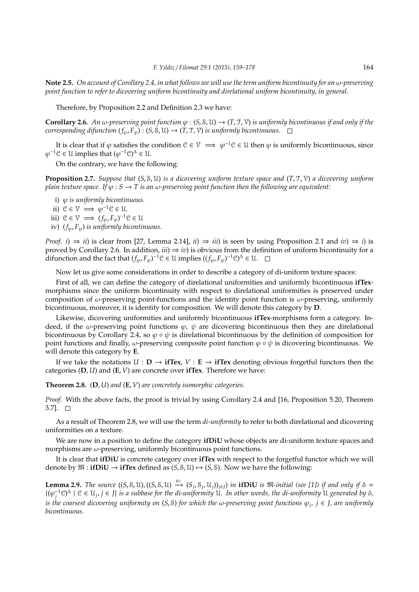**Note 2.5.** *On account of Corollary 2.4, in what follows we will use the term uniform bicontinuity for an* ω*-preserving point function to refer to dicovering uniform bicontinuity and direlational uniform bicontinuity, in general.*

Therefore, by Proposition 2.2 and Definition 2.3 we have:

**Corollary 2.6.** An  $\omega$ -preserving point function  $\varphi$  : (*S*, *S*, *U*)  $\rightarrow$  (*T*, *J*, *V*) is uniformly bicontinuous if and only if the *corresponding difunction*  $(f_{\varphi}, F_{\varphi})$  :  $(S, \mathcal{S}, \mathcal{U}) \rightarrow (T, \mathcal{T}, \mathcal{V})$  *is uniformly bicontinuous.* 

It is clear that if  $\varphi$  satisfies the condition  $C \in V \implies \varphi^{-1}C \in \mathcal{U}$  then  $\varphi$  is uniformly bicontinuous, since  $\varphi^{-1}$ C  $\in \mathcal{U}$  implies that  $(\varphi^{-1} \mathcal{C})^{\Delta} \in \mathcal{U}$ .

On the contrary, we have the following:

**Proposition 2.7.** *Suppose that* (*S*, S, U) *is a dicovering uniform texture space and* (*T*, T, V) *a dicovering uniform plain texture space. If*  $\varphi$  :  $S \to T$  *is an*  $\omega$ *-preserving point function then the following are equivalent:* 

i) ϕ *is uniformly bicontinuous.*

ii)  $\mathcal{C} \in \mathcal{V} \implies \varphi^{-1} \mathcal{C} \in \mathcal{U}$ .

- iii)  $C \in \mathcal{V} \implies (f_{\varphi}, F_{\varphi})^{-1}C \in \mathcal{U}$
- iv) (*f*ϕ, *F*ϕ) *is uniformly bicontinuous.*

*Proof. i*)  $\Rightarrow$  *ii*) is clear from [27, Lemma 2.14], *ii*)  $\Rightarrow$  *iii*) is seen by using Proposition 2.1 and *iv*)  $\Rightarrow$  *i*) is proved by Corollary 2.6. In addition,  $iii) \Rightarrow iv$  is obvious from the definition of uniform bicontinuity for a difunction and the fact that  $(f_\varphi, F_\varphi)^{-1} \mathcal{C} \in \mathcal{U}$  implies  $((f_\varphi, F_\varphi)^{-1} \mathcal{C})^{\Delta} \in \mathcal{U}$ .

Now let us give some considerations in order to describe a category of di-uniform texture spaces:

First of all, we can define the category of direlational uniformities and uniformly bicontinuous **ifTex**morphisms since the uniform bicontinuity with respect to direlational uniformities is preserved under composition of  $\omega$ -preserving point-functions and the identity point function is  $\omega$ -preserving, uniformly bicontinuous, moreover, it is identity for composition. We will denote this category by **D**.

Likewise, dicovering uniformities and uniformly bicontinuous **ifTex**-morphisms form a category. Indeed, if the  $\omega$ -preserving point functions  $\varphi$ ,  $\psi$  are dicovering bicontinuous then they are direlational bicontinuous by Corollary 2.4, so  $\varphi \circ \psi$  is direlational bicontinuous by the definition of composition for point functions and finally,  $\omega$ -preserving composite point function  $\varphi \circ \psi$  is dicovering bicontinuous. We will denote this category by **E**.

If we take the notations  $U : D \to \text{if}\text{Text}, V : E \to \text{if}\text{Text}$  denoting obvious forgetful functors then the categories (**D**, *U*) and (**E**, *V*) are concrete over **ifTex**. Therefore we have:

**Theorem 2.8.** (**D**, *U*) *and* (**E**, *V*) *are concretely isomorphic categories.*

*Proof.* With the above facts, the proof is trivial by using Corollary 2.4 and [16, Proposition 5.20, Theorem  $3.7$ ].  $\Box$ 

As a result of Theorem 2.8, we will use the term *di-uniformity* to refer to both direlational and dicovering uniformities on a texture.

We are now in a position to define the category **ifDiU** whose objects are di-uniform texture spaces and morphisms are  $\omega$ -preserving, uniformly bicontinuous point functions.

It is clear that **ifDiU** is concrete category over **ifTex** with respect to the forgetful functor which we will denote by  $\mathfrak{M} : \mathbf{ifDiv} \to \mathbf{ifText}$  defined as  $(S, \mathcal{S}, \mathcal{U}) \mapsto (S, \mathcal{S})$ . Now we have the following:

**Lemma 2.9.** The source  $((S, S, U), ((S, S, U) \xrightarrow{\varphi_j} (S_j, S_j, U_j))_{j \in J})$  in **ifDiU** is  $\mathfrak{M}\text{-initial}$  (see [1]) if and only if  $\delta =$  $\{(\varphi_j^{-1}\vartheta)^\Delta \mid \vartheta \in \mathfrak{U}_j, j \in J\}$  is a subbase for the di-uniformity  $\mathfrak{U}$ . In other words, the di-uniformity  $\mathfrak{U}$  generated by  $\delta$ , *is the coarsest dicovering uniformity on* (*S*, S) *for which the* ω*-preserving point functions* ϕ*<sup>j</sup> , j* ∈ *J, are uniformly bicontinuous.*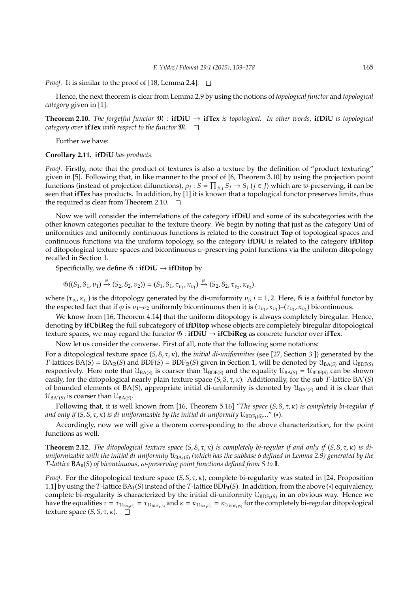*Proof.* It is similar to the proof of [18, Lemma 2.4].  $\Box$ 

Hence, the next theorem is clear from Lemma 2.9 by using the notions of *topological functor* and *topological category* given in [1].

**Theorem 2.10.** *The forgetful functor*  $\mathfrak{M}$  : **ifDiU**  $\rightarrow$  **ifTex** *is topological. In other words,* **ifDiU** *is topological category over* **ifTex** *with respect to the functor*  $\mathfrak{M}$ *.*  $\Box$ 

Further we have:

**Corollary 2.11. ifDiU** *has products.*

*Proof.* Firstly, note that the product of textures is also a texture by the definition of "product texturing" given in [5]. Following that, in like manner to the proof of [6, Theorem 3.10] by using the projection point functions (instead of projection difunctions),  $\rho_j$  :  $S = \prod_{j\in J} S_j \to S_j$  ( $j \in J$ ) which are *w*-preserving, it can be seen that **ifTex** has products. In addition, by [1] it is known that a topological functor preserves limits, thus the required is clear from Theorem 2.10.  $\Box$ 

Now we will consider the interrelations of the category **ifDiU** and some of its subcategories with the other known categories peculiar to the texture theory. We begin by noting that just as the category **Uni** of uniformities and uniformly continuous functions is related to the construct **Top** of topological spaces and continuous functions via the uniform topology, so the category **ifDiU** is related to the category **ifDitop** of ditopological texture spaces and bicontinuous  $\omega$ -preserving point functions via the uniform ditopology recalled in Section 1.

Specificially, we define  $\mathfrak{G}$  : **ifDiU**  $\rightarrow$  **ifDitop** by

$$
\mathfrak{G}((S_1, S_1, v_1) \xrightarrow{\varphi} (S_2, S_2, v_2)) = (S_1, S_1, \tau_{v_1}, \kappa_{v_1}) \xrightarrow{\varphi} (S_2, S_2, \tau_{v_2}, \kappa_{v_2}).
$$

where ( $\tau_{v_i}, \kappa_{v_i}$ ) is the ditopology generated by the di-uniformity  $v_i$ ,  $i = 1, 2$ . Here,  $\emptyset$  is a faithful functor by the expected fact that if  $\varphi$  is  $v_1-v_2$  uniformly bicontinuous then it is  $(\tau_{v_1}, \kappa_{v_1})$ - $(\tau_{v_2}, \kappa_{v_2})$  bicontinuous.

We know from [16, Theorem 4.14] that the uniform ditopology is always completely biregular. Hence, denoting by **ifCbiReg** the full subcategory of **ifDitop** whose objects are completely biregular ditopological texture spaces, we may regard the functor G : **ifDiU** → **ifCbiReg** as concrete functor over **ifTex**.

Now let us consider the converse. First of all, note that the following some notations:

For a ditopological texture space (*S*, S, τ, κ), the *initial di-uniformities* (see [27, Section 3 ]) generated by the *T*-lattices  $BA(S) = BA_R(S)$  and  $BDF(S) = BDF_R(S)$  given in Section 1, will be denoted by  $\mathcal{U}_{BA(S)}$  and  $\mathcal{U}_{BDF(S)}$ respectively. Here note that  $\mathfrak{U}_{BA(S)}$  is coarser than  $\mathfrak{U}_{BDF(S)}$  and the equality  $\mathfrak{U}_{BA(S)} = \mathfrak{U}_{BDF(S)}$  can be shown easily, for the ditopological nearly plain texture space (*S*, S, τ, κ). Additionally, for the sub *T*-lattice BA<sup>∗</sup> (*S*) of bounded elements of BA(*S*), appropriate initial di-uniformity is denoted by  $\mathfrak{U}_{BA^*(S)}$  and it is clear that  $\mathcal{U}_{BA^*(S)}$  is coarser than  $\mathcal{U}_{BA(S)}$ .

Following that, it is well known from [16, Theorem 5.16] "*The space* (*S*, S, τ, κ) *is completely bi-regular if* and only if (S, S, τ, κ) is di-uniformizable by the initial di-uniformity U $_{\rm BDF_{\rm I}(S)}...$ " (∗).

Accordingly, now we will give a theorem corresponding to the above characterization, for the point functions as well.

**Theorem 2.12.** *The ditopological texture space* (*S*, S, τ, κ) *is completely bi-regular if and only if* (*S*, S, τ, κ) *is diuniformizable with the initial di-uniformity* UBAI(*S*) *(which has the subbase* δ *defined in Lemma 2.9) generated by the T-lattice* BAI(*S*) *of bicontinuous,* ω*-preserving point functions defined from S to* I*.*

*Proof.* For the ditopological texture space (*S*, *S*, *τ*, *κ*), complete bi-regularity was stated in [24, Proposition 1.1] by using the *T*-lattice  $BA_{\text{I}}(S)$  instead of the *T*-lattice  $BDF_{\text{I}}(S)$ . In addition, from the above  $(*)$  equivalency, complete bi-regularity is characterized by the initial di-uniformity  $\mathcal{U}_{BDF_I(S)}$  in an obvious way. Hence we have the equalities  $\tau=\tau_{\mathcal{U}_{BA_{\rm I}(S)}}=\tau_{\mathcal{U}_{BDF_{\rm I}(S)}}$  and  $\kappa=\kappa_{\mathcal{U}_{BA_{\rm I}(S)}}=\kappa_{\mathcal{U}_{BDF_{\rm I}(S)}}$  for the completely bi-regular ditopological texture space  $(S, \mathcal{S}, \tau, \kappa)$ .  $\square$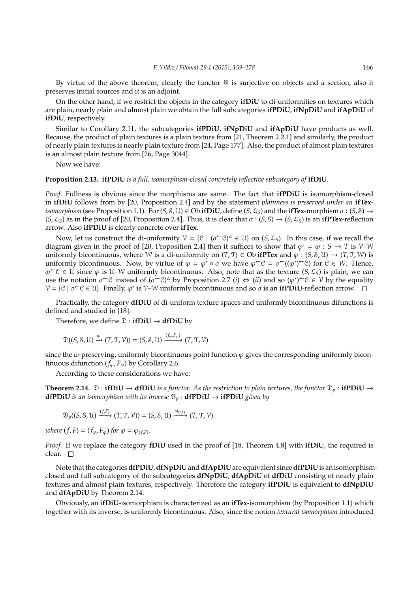By virtue of the above theorem, clearly the functor  $\mathfrak G$  is surjective on objects and a section, also it preserves initial sources and it is an adjoint.

On the other hand, if we restrict the objects in the category **ifDiU** to di-uniformities on textures which are plain, nearly plain and almost plain we obtain the full subcategories **ifPDiU**, **ifNpDiU** and **ifApDiU** of **ifDiU**, respectively.

Similar to Corollary 2.11, the subcategories **ifPDiU**, **ifNpDiU** and **ifApDiU** have products as well. Because, the product of plain textures is a plain texture from [21, Theorem 2.2.1] and similarly, the product of nearly plain textures is nearly plain texture from [24, Page 177]. Also, the product of almost plain textures is an almost plain texture from [26, Page 3044].

Now we have:

**Proposition 2.13. ifPDiU** *is a full, isomorphism-closed concretely reflective subcategory of* **ifDiU***.*

*Proof.* Fullness is obvious since the morphisms are same. The fact that **ifPDiU** is isomorphism-closed in **ifDiU** follows from by [20, Proposition 2.4] and by the statement *plainness is preserved under an* **ifTex***isomorphism* (see Proposition 1.1). For  $(S, S, \mathcal{U}) \in \mathcal{O}$ b **ifDiU**, define  $(S, \mathcal{L}_S)$  and the **ifTex**-morphism  $\sigma : (S, \mathcal{S}) \rightarrow$  $(S, \mathcal{L}_S)$  as in the proof of [20, Proposition 2.4]. Thus, it is clear that  $\sigma : (S, \mathcal{S}) \to (S, \mathcal{L}_S)$  is an **ifPTex**-reflection arrow. Also **ifPDiU** is clearly concrete over **ifTex**.

Now, let us construct the di-uniformity  $V = \{C \mid (\sigma^{\leftarrow} C)^{\triangle} \in \mathcal{U} \}$  on  $(S, \mathcal{L}_S)$ . In this case, if we recall the diagram given in the proof of [20, Proposition 2.4] then it suffices to show that  $\varphi^* = \varphi : S \to T$  is V–W uniformly bicontinuous, where W is a di-uniformity on  $(T, \mathcal{T}) \in \mathbb{O}$  **if PTex** and  $\varphi : (S, \mathcal{S}, \mathcal{U}) \to (T, \mathcal{T}, \mathcal{W})$  is uniformly bicontinuous. Now, by virtue of  $\varphi = \varphi^* \circ \sigma$  we have  $\varphi^{\leftarrow} \mathcal{C} = \sigma^{\leftarrow}((\varphi^*)^{\leftarrow} \mathcal{C})$  for  $\mathcal{C} \in \mathcal{W}$ . Hence,  $\varphi^{\leftarrow} \mathcal{C} \in \mathcal{U}$  since  $\varphi$  is  $\mathcal{U}-\mathcal{W}$  uniformly bicontinuous. Also, note that as the texture  $(S, \mathcal{L}_S)$  is plain, we can use the notation  $\sigma^{\leftarrow}C$  instead of  $(\sigma^{\leftarrow}C)^{\Delta}$  by Proposition 2.7 (*i*)  $\Leftrightarrow$  (*ii*) and so  $(\varphi^*)^{\leftarrow}C \in V$  by the equality  $V = \{ \mathcal{C} \mid \sigma \in \mathcal{C} \in \mathcal{U} \}$ . Finally,  $\varphi^*$  is  $V-W$  uniformly bicontinuous and so  $\sigma$  is an **ifPDiU**-reflection arrow.

Practically, the category **dfDiU** of di-uniform texture spaces and uniformly bicontinuous difunctions is defined and studied in [18].

Therefore, we define  $\mathfrak{D}:$  **ifDiU**  $\rightarrow$  **dfDiU** by

$$
\mathfrak{D}((S, \mathcal{S}, \mathcal{U}) \xrightarrow{\varphi} (T, \mathcal{T}, \mathcal{V})) = (S, \mathcal{S}, \mathcal{U}) \xrightarrow{(f_{\varphi}, F_{\varphi})} (T, \mathcal{T}, \mathcal{V})
$$

since the  $\omega$ -preserving, uniformly bicontinuous point function  $\varphi$  gives the corresponding uniformly bicontinuous difunction  $(f_\varphi, F_\varphi)$  by Corollary 2.6.

According to these considerations we have:

**Theorem 2.14.**  $\mathfrak{D}:$  **ifDiU**  $\rightarrow$  **dfDiU** *is a functor. As the restriction to plain textures, the functor*  $\mathfrak{D}_p:$  **ifPDiU**  $\rightarrow$ **dfPDiU** *is an isomorphism with its inverse*  $\mathfrak{B}_p$  : **dfPDiU**  $\rightarrow$  **ifPDiU** *given by* 

$$
\mathfrak{B}_p((S, \mathcal{S}, \mathcal{U}) \xrightarrow{(f, F)} (T, \mathcal{T}, \mathcal{V})) = (S, \mathcal{S}, \mathcal{U}) \xrightarrow{\varphi_{(f, F)}} (T, \mathcal{T}, \mathcal{V}).
$$

*where*  $(f, F) = (f_{\varphi}, F_{\varphi})$  *for*  $\varphi = \varphi_{(f, F)}$ *.* 

*Proof.* If we replace the category **fDiU** used in the proof of [18, Theorem 4.8] with **ifDiU**, the required is clear.  $\square$ 

Note that the categories**dfPDiU**,**dfNpDiU**and**dfApDiU**are equivalent since**dfPDiU**is an isomorphismclosed and full subcategory of the subcategories **dfNpDiU**, **dfApDiU** of **dfDiU** consisting of nearly plain textures and almost plain textures, respectively. Therefore the category **ifPDiU** is equivalent to **dfNpDiU** and **dfApDiU** by Theorem 2.14.

Obviously, an **ifDiU**-isomorphism is characterized as an **ifTex**-isomorphism (by Proposition 1.1) which together with its inverse, is uniformly bicontinuous. Also, since the notion *textural isomorphism* introduced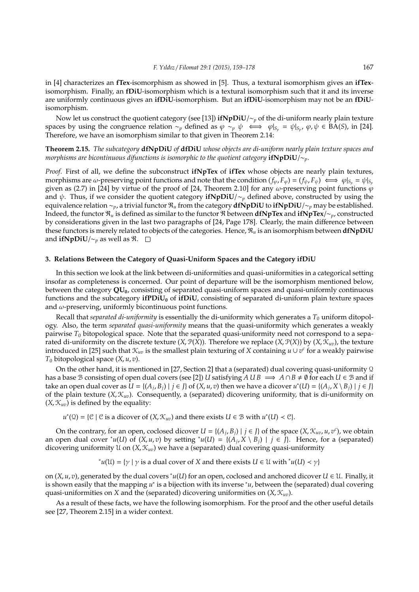in [4] characterizes an **fTex**-isomorphism as showed in [5]. Thus, a textural isomorphism gives an **ifTex**isomorphism. Finally, an **fDiU**-isomorphism which is a textural isomorphism such that it and its inverse are uniformly continuous gives an **ifDiU**-isomorphism. But an **ifDiU**-isomorphism may not be an **fDiU**isomorphism.

Now let us construct the quotient category (see [13]) **ifNpDiU**/∼*<sup>p</sup>* of the di-uniform nearly plain texture spaces by using the congruence relation  $\sim_p$  defined as  $\varphi \sim_p \psi \iff \varphi|_{S_p} = \psi|_{S_p}$ ,  $\varphi, \psi \in \widehat{BA}(S)$ , in [24]. Therefore, we have an isomorphism similar to that given in Theorem 2.14:

**Theorem 2.15.** *The subcategory* **dfNpDiU** *of* **dfDiU** *whose objects are di-uniform nearly plain texture spaces and morphisms are bicontinuous difunctions is isomorphic to the quotient category* **ifNpDiU**/∼*p.*

*Proof.* First of all, we define the subconstruct **ifNpTex** of **ifTex** whose objects are nearly plain textures, morphisms are  $\omega$ -preserving point functions and note that the condition  $(f_{\varphi}, F_{\varphi}) = (f_{\psi}, F_{\psi}) \iff \varphi|_{S_{\varphi}} = \psi|_{S_{\varphi}}$ given as (2.7) in [24] by virtue of the proof of [24, Theorem 2.10] for any  $\omega$ -preserving point functions  $\varphi$ and  $\psi$ . Thus, if we consider the quotient category **ifNpDiU**/∼<sub>*p*</sub> defined above, constructed by using the equivalence relation ∼*p*, a trivial functor R*<sup>u</sup>* from the category **dfNpDiU** to **ifNpDiU**/∼*<sup>p</sup>* may be established. Indeed, the functor R*<sup>u</sup>* is defined as similar to the functor R between **dfNpTex** and **ifNpTex**/∼*p*, constructed by considerations given in the last two paragraphs of [24, Page 178]. Clearly, the main difference between these functors is merely related to objects of the categories. Hence, R*<sup>u</sup>* is an isomorphism between **dfNpDiU** and **ifNpDiU**/ $\sim$ <sub>*p*</sub> as well as  $\Re$ . □

## **3. Relations Between the Category of Quasi-Uniform Spaces and the Category ifDiU**

In this section we look at the link between di-uniformities and quasi-uniformities in a categorical setting insofar as completeness is concerned. Our point of departure will be the isomorphism mentioned below, between the category **QU0**, consisting of separated quasi-uniform spaces and quasi-uniformly continuous functions and the subcategory **ifPDiU<sup>0</sup>** of **ifDiU**, consisting of separated di-uniform plain texture spaces and  $\omega$ -preserving, uniformly bicontinuous point functions.

Recall that *separated di-uniformity* is essentially the di-uniformity which generates a *T*<sup>0</sup> uniform ditopology. Also, the term *separated quasi-uniformity* means that the quasi-uniformity which generates a weakly pairwise *T*<sub>0</sub> bitopological space. Note that the separated quasi-uniformity need not correspond to a separated di-uniformity on the discrete texture  $(X, \mathcal{P}(X))$ . Therefore we replace  $(X, \mathcal{P}(X))$  by  $(X, \mathcal{K}_{uv})$ , the texture introduced in [25] such that  $\mathcal{K}_{uv}$  is the smallest plain texturing of *X* containing  $u \cup v^c$  for a weakly pairwise  $T_0$  bitopological space  $(X, u, v)$ .

On the other hand, it is mentioned in [27, Section 2] that a (separated) dual covering quasi-uniformity  $\Omega$ has a base B consisting of open dual covers (see [2]) *U* satisfying  $A \cup B \implies A \cap B \neq \emptyset$  for each  $U \in B$  and if take an open dual cover as  $U = \{(A_j, B_j) \mid j \in J\}$  of  $(X, u, v)$  then we have a dicover  $u^*(U) = \{(A_j, X \setminus B_j) \mid j \in J\}$ of the plain texture (*X*, K*uv*). Consequently, a (separated) dicovering uniformity, that is di-uniformity on  $(X, \mathcal{K}_{uv})$  is defined by the equality:

*u*<sup>\*</sup>(2) = {C | C is a dicover of  $(X, \mathcal{K}_{uv})$  and there exists *U* ∈ B with *u*<sup>\*</sup>(*U*) < C}.

On the contrary, for an open, coclosed dicover  $U = \{(A_j, B_j) | j \in J\}$  of the space  $(X, \mathcal{K}_{uv}, u, v^c)$ , we obtain an open dual cover  $^*u(U)$  of  $(X, u, v)$  by setting  $^*u(U) = \{(A_j, X \setminus B_j) | j \in J\}$ . Hence, for a (separated) dicovering uniformity U on (*X*, K*uv*) we have a (separated) dual covering quasi-uniformity

<sup>∗</sup>
$$
u(U) = {γ | γ is a dual cover of X and there exists U ∈ U with *u(U) < γ}
$$

on  $(X, u, v)$ , generated by the dual covers  $^*u(U)$  for an open, coclosed and anchored dicover  $U \in \mathcal{U}$ . Finally, it is shown easily that the mapping *u*<sup>\*</sup> is a bijection with its inverse <sup>∗</sup>*u*, between the (separated) dual covering quasi-uniformities on *X* and the (separated) dicovering uniformities on  $(X, \mathcal{K}_{uv})$ .

As a result of these facts, we have the following isomorphism. For the proof and the other useful details see [27, Theorem 2.15] in a wider context.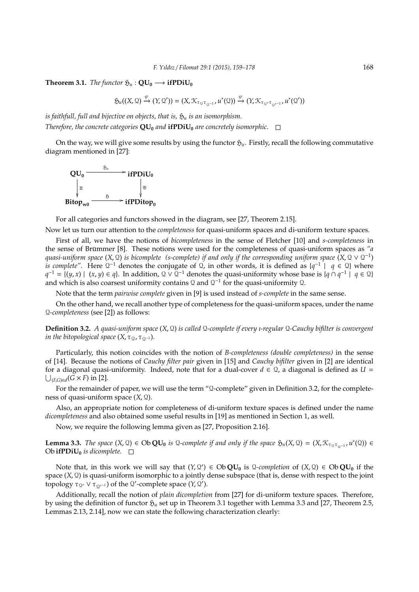# **Theorem 3.1.** *The functor*  $\mathfrak{H}_u$  :  $\mathbf{OU}_0 \longrightarrow \mathbf{ifPDiU}_0$

$$
\mathfrak{H}_{u}((X,\mathfrak{Q})\xrightarrow{\varphi} (Y,\mathfrak{Q}'))=(X,\mathfrak{K}_{\tau_{\mathfrak{Q}}\tau_{\mathfrak{Q}^{-1}}},u^*(\mathfrak{Q}))\xrightarrow{\varphi} (Y,\mathfrak{K}_{\tau_{\mathfrak{Q}'}\tau_{\mathfrak{Q}'^{-1}}},u^*(\mathfrak{Q}'))
$$

*is faithfull, full and bijective on objects, that is,*  $\mathfrak{H}_u$  *is an isomorphism. Therefore, the concrete categories*  $QU_0$  *and* **ifPDi** $U_0$  *are concretely isomorphic.*  $\Box$ 

On the way, we will give some results by using the functor  $\mathfrak{H}_u$ . Firstly, recall the following commutative diagram mentioned in [27]:



For all categories and functors showed in the diagram, see [27, Theorem 2.15].

Now let us turn our attention to the *completeness* for quasi-uniform spaces and di-uniform texture spaces.

First of all, we have the notions of *bicompleteness* in the sense of Fletcher [10] and *s-completeness* in the sense of Brümmer [8]. These notions were used for the completeness of quasi-uniform spaces as "a *quasi-uniform space* (*X*, Q) *is bicomplete (s-complete) if and only if the corresponding uniform space* (*X*, Q ∨ Q −1 ) *is complete"*. Here  $Q^{-1}$  denotes the conjugate of  $Q$ , in other words, it is defined as  $\{q^{-1} \mid q \in Q\}$  where *q*<sup>-1</sup> = {(*y*, *x*) | (*x*, *y*) ∈ *q*}. In addition,  $\Omega \vee \Omega^{-1}$  denotes the quasi-uniformity whose base is {*q* ∩ *q*<sup>-1</sup> | *q* ∈  $\Omega$ } and which is also coarsest uniformity contains  $\Omega$  and  $\Omega^{-1}$  for the quasi-uniformity  $\Omega$ .

Note that the term *pairwise complete* given in [9] is used instead of *s-complete* in the same sense.

On the other hand, we recall another type of completeness for the quasi-uniform spaces, under the name Q*-completeness* (see [2]) as follows:

**Definition 3.2.** *A quasi-uniform space* (*X*, Q) *is called* Q*-complete if every ı-regular* Q*-Cauchy bifilter is convergent in the bitopological space*  $(X, \tau_{Q}, \tau_{Q^{-1}})$ *.* 

Particularly, this notion coincides with the notion of *B-completeness (double completeness)* in the sense of [14]. Because the notions of *Cauchy filter pair* given in [15] and *Cauchy bifilter* given in [2] are identical for a diagonal quasi-uniformity. Indeed, note that for a dual-cover  $d \in \mathcal{Q}$ , a diagonal is defined as  $U =$  $\bigcup_{(F,G)\in\mathcal{A}}(\widetilde{G}\times F)$  in [2].

For the remainder of paper, we will use the term "Q-complete" given in Definition 3.2, for the completeness of quasi-uniform space (*X*, Q).

Also, an appropriate notion for completeness of di-uniform texture spaces is defined under the name *dicompleteness* and also obtained some useful results in [19] as mentioned in Section 1, as well.

Now, we require the following lemma given as [27, Proposition 2.16].

**Lemma 3.3.** *The space*  $(X, \mathcal{Q}) \in Ob \mathbf{QU}_0$  *is*  $\mathcal{Q}$ -complete if and only if the space  $\mathfrak{H}_u(X, \mathcal{Q}) = (X, \mathcal{K}_{\tau_{\mathcal{Q}} \tau_{\mathcal{Q}^{-1}}} \cdot u^*(\mathcal{Q})) \in$ Ob **ifPDiU**<sup> $0$ </sup> *is dicomplete.*  $\Box$ 

Note that, in this work we will say that  $(Y, Q') \in ObQU_0$  is  $Q$ -completion of  $(X, Q) \in ObQU_0$  if the space (*X*, Q) is quasi-uniform isomorphic to a jointly dense subspace (that is, dense with respect to the joint topology  $\tau_{\mathcal{Q}}$ ,  $\vee$   $\tau_{\mathcal{Q}}$ , -1) of the  $\mathcal{Q}'$ -complete space (*Y*,  $\mathcal{Q}'$ ).

Additionally, recall the notion of *plain dicompletion* from [27] for di-uniform texture spaces. Therefore, by using the definition of functor  $\mathfrak{H}_u$  set up in Theorem 3.1 together with Lemma 3.3 and [27, Theorem 2.5, Lemmas 2.13, 2.14], now we can state the following characterization clearly: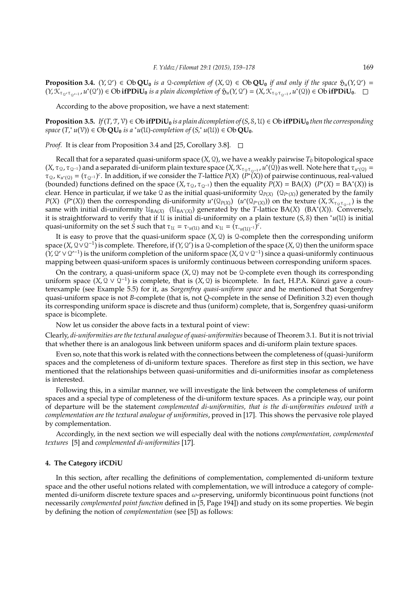**Proposition 3.4.**  $(Y, Q') \in Ob \mathbf{QU}_0$  *is a* Q-completion of  $(X, Q) \in Ob \mathbf{QU}_0$  *if and only if the space*  $\mathfrak{H}_u(Y, Q') =$  $(Y, \mathcal{K}_{\tau_{\Omega}, \tau_{\Omega^{t-1}}} , u^*(\Omega')) \in \text{Ob } \textbf{ifPDiU}_0$  *is a plain dicompletion of*  $\mathfrak{H}_u(Y, \Omega') = (X, \mathcal{K}_{\tau_{\Omega} \tau_{\Omega^{-1}}} , u^*(\Omega)) \in \text{Ob } \textbf{ifPDiU}_0$ .

According to the above proposition, we have a next statement:

**Proposition 3.5.** *If*( $T$ ,  $T$ ,  $V$ )  $\in$  Ob **ifPDiU**<sub>0</sub> *is a plain dicompletion of*( $S$ ,  $S$ ,  $U$ )  $\in$  Ob **ifPDiU**<sub>0</sub> *then the corresponding*  $\mathbf{p}$  *space*  $(T, ^*u(\mathcal{V})) \in \mathbf{Ob}\mathbf{QU}_0$  *is a*  $^*u(\mathcal{U})$ *-completion of*  $(S, ^*u(\mathcal{U})) \in \mathbf{Ob}\mathbf{QU}_0$ *.* 

*Proof.* It is clear from Proposition 3.4 and [25, Corollary 3.8]. □

Recall that for a separated quasi-uniform space  $(X, \mathcal{Q})$ , we have a weakly pairwise  $T_0$  bitopological space  $(X, \tau_0, \tau_{\Omega^{-1}})$  and a separated di-uniform plain texture space  $(X, \mathcal{K}_{\tau_0 \tau_{\Omega^{-1}}}$ ,  $u^*(\Omega))$  as well. Note here that  $\tau_{u^*(\Omega)} =$  $\tau_{\Omega}$ ,  $\kappa_{u^*(\Omega)} = (\tau_{\Omega^{-1}})^c$ . In addition, if we consider the *T*-lattice *P*(*X*) ( $\overline{P^*(X)}$ ) of pairwise continuous, real-valued (bounded) functions defined on the space  $(X, \tau_{\Omega}, \tau_{\Omega^{-1}})$  then the equality  $P(X) = BA(X)$   $(P^*(X) = BA^*(X))$  is clear. Hence in particular, if we take Q as the initial quasi-uniformity Q*<sup>P</sup>*(*X*) (Q*P*<sup>∗</sup> (*X*)) generated by the family  $P(X)$  (*P*<sup>∗</sup>(*X*)) then the corresponding di-uniformity  $u^*(\mathcal{Q}_{P(X)})$  ( $u^*(\mathcal{Q}_{P^*(X)})$ ) on the texture (*X*,  $\mathcal{K}_{\tau_0 \tau_0-1}$ ) is the  $\lim_{x \to a}$  with initial di-uniformity  $\mathcal{U}_{BA(X)}$  ( $\mathcal{U}_{BA^*(X)}$ ) generated by the *T*-lattice BA(*X*) (BA<sup>\*</sup>(*X*)). Conversely, it is straightforward to verify that if U is initial di-uniformity on a plain texture  $(S, \mathcal{S})$  then  $^*u(\mathcal{U})$  is initial quasi-uniformity on the set *S* such that  $\tau_u = \tau_{\nu(u)}$  and  $\kappa_u = (\tau_{\nu(u)} - 1)^c$ .

It is easy to prove that the quasi-uniform space  $(X, \mathcal{Q})$  is  $\mathcal{Q}$ -complete then the corresponding uniform space (*X*, Q∨Q<sup>-1</sup>) is complete. Therefore, if (*Y*, Q') is a Q-completion of the space (*X*, Q) then the uniform space  $(Y, Q' \vee Q'^{-1})$  is the uniform completion of the uniform space  $(X, Q \vee Q^{-1})$  since a quasi-uniformly continuous mapping between quasi-uniform spaces is uniformly continuous between corresponding uniform spaces.

On the contrary, a quasi-uniform space  $(X, \mathbb{Q})$  may not be  $\mathbb{Q}$ -complete even though its corresponding uniform space  $(X, Q \vee Q^{-1})$  is complete, that is  $(X, Q)$  is bicomplete. In fact, H.P.A. Künzi gave a counterexample (see Example 5.5) for it, as *Sorgenfrey quasi-uniform space* and he mentioned that Sorgenfrey quasi-uniform space is not *B*-complete (that is, not *Q*-complete in the sense of Definition 3.2) even though its corresponding uniform space is discrete and thus (uniform) complete, that is, Sorgenfrey quasi-uniform space is bicomplete.

Now let us consider the above facts in a textural point of view:

Clearly, *di-uniformities are the textural analogue of quasi-uniformities* because of Theorem 3.1. But it is not trivial that whether there is an analogous link between uniform spaces and di-uniform plain texture spaces.

Even so, note that this work is related with the connections between the completeness of (quasi-)uniform spaces and the completeness of di-uniform texture spaces. Therefore as first step in this section, we have mentioned that the relationships between quasi-uniformities and di-uniformities insofar as completeness is interested.

Following this, in a similar manner, we will investigate the link between the completeness of uniform spaces and a special type of completeness of the di-uniform texture spaces. As a principle way, our point of departure will be the statement *complemented di-uniformities, that is the di-uniformities endowed with a complementation are the textural analogue of uniformities*, proved in [17]. This shows the pervasive role played by complementation.

Accordingly, in the next section we will especially deal with the notions *complementation, complemented textures* [5] and *complemented di-uniformities* [17].

#### **4. The Category ifCDiU**

In this section, after recalling the definitions of complementation, complemented di-uniform texture space and the other useful notions related with complementation, we will introduce a category of complemented di-uniform discrete texture spaces and  $\omega$ -preserving, uniformly bicontinuous point functions (not necessarily *complemented point function* defined in [5, Page 194]) and study on its some properties. We begin by defining the notion of *complementation* (see [5]) as follows: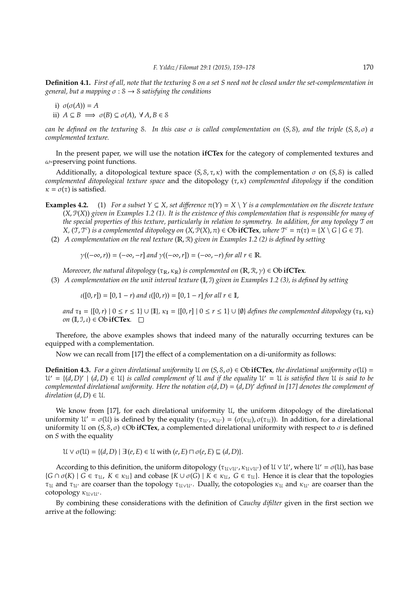**Definition 4.1.** *First of all, note that the texturing* S *on a set S need not be closed under the set-complementation in general, but a mapping* σ : S → S *satisfying the conditions*

i) 
$$
\sigma(\sigma(A)) = A
$$
  
ii)  $A \subseteq B \implies \sigma(B) \subseteq \sigma(A), \forall A, B \in \mathcal{S}$ 

*can be defined on the texturing* S*. In this case* σ *is called complementation on* (*S*, S)*, and the triple* (*S*, S, σ) *a complemented texture.*

In the present paper, we will use the notation **ifCTex** for the category of complemented textures and  $\omega$ -preserving point functions.

Additionally, a ditopological texture space  $(S, S, \tau, \kappa)$  with the complementation  $\sigma$  on  $(S, S)$  is called *complemented ditopological texture space* and the ditopology (τ, κ) *complemented ditopology* if the condition  $\kappa = \sigma(\tau)$  is satisfied.

- **Examples 4.2.** (1) *For a subset Y* ⊆ *X*, *set difference*  $π(Y) = X \setminus Y$  *is a complementation on the discrete texture* (*X*, P(*X*)) *given in Examples 1.2 (1). It is the existence of this complementation that is responsible for many of the special properties of this texture, particularly in relation to symmetry. In addition, for any topology* T *on X*,  $(\mathcal{T}, \mathcal{T}^c)$  *is a complemented ditopology on*  $(X, \mathcal{P}(X), \pi) \in \mathbf{Ob}\ \mathbf{ifC}\mathbf{Text},$  where  $\mathcal{T}^c = \pi(\tau) = \{X \setminus G \mid G \in \mathcal{T}\}$ .
	- (2) *A complementation on the real texture* (R, R) *given in Examples 1.2 (2) is defined by setting*

$$
\gamma((-\infty,r)) = (-\infty,-r]
$$
 and  $\gamma((-\infty,r]) = (-\infty,-r)$  for all  $r \in \mathbb{R}$ .

*Moreover, the natural ditopology*  $(\tau_{\mathbb{R}}, \kappa_{\mathbb{R}})$  *is complemented on*  $(\mathbb{R}, \mathcal{R}, \gamma) \in \text{Ob } \textbf{if} \textbf{CTex}$ *.* 

(3) *A complementation on the unit interval texture* (I, I) *given in Examples 1.2 (3), is defined by setting*

 $\iota([0,r]) = [0, 1-r)$  *and*  $\iota([0,r)) = [0, 1-r]$  *for all*  $r \in \mathbb{I}$ ,

*and*  $\tau_{\mathbb{I}} = \{ [0, r) \mid 0 \le r \le 1 \} \cup \{ \mathbb{I} \}$ ,  $\kappa_{\mathbb{I}} = \{ [0, r] \mid 0 \le r \le 1 \} \cup \{ \emptyset \}$  *defines the complemented ditopology*  $(\tau_{\mathbb{I}}, \kappa_{\mathbb{I}})$ *on*  $(\mathbb{I}, \mathbb{I}, \iota) \in \text{Ob } \textbf{if} \textbf{CTex}.$ 

Therefore, the above examples shows that indeed many of the naturally occurring textures can be equipped with a complementation.

Now we can recall from [17] the effect of a complementation on a di-uniformity as follows:

**Definition 4.3.** *For a given direlational uniformity*  $U$  *on*  $(S, S, \sigma) \in Ob$ **ifCTex***, the direlational uniformity*  $\sigma(U)$  =  $U' = \{(d, D)' \mid (d, D) \in U\}$  *is called complement of* U *and if the equality*  $U' = U$  *is satisfied then* U *is said to be complemented direlational uniformity. Here the notation* σ(*d*, *D*) = (*d*, *D*) <sup>0</sup> *defined in [17] denotes the complement of direlation*  $(d, D) \in \mathcal{U}$ *.* 

We know from [17], for each direlational uniformity U, the uniform ditopology of the direlational uniformity  $\mathcal{U}' = \sigma(\mathcal{U})$  is defined by the equality  $(\tau_{\mathcal{U}}, \kappa_{\mathcal{U}'}) = (\sigma(\kappa_{\mathcal{U}}), \sigma(\tau_{\mathcal{U}}))$ . In addition, for a direlational uniformity U on  $(S, \mathcal{S}, \sigma)$  ∈Ob **ifCTex**, a complemented direlational uniformity with respect to  $\sigma$  is defined on *S* with the equality

 $U \vee \sigma(U) = \{(d, D) \mid \exists (e, E) \in U \text{ with } (e, E) \sqcap \sigma(e, E) \sqsubseteq (d, D)\}.$ 

According to this definition, the uniform ditopology ( $\tau_{U\vee U'}$ ,  $\kappa_{U\vee U'}$ ) of  $U\vee U'$ , where  $U'=\sigma(U)$ , has base  $\{G \cap \sigma(K) \mid G \in \tau_{\mathcal{U}}, K \in \kappa_{\mathcal{U}}\}$  and cobase  $\{K \cup \sigma(G) \mid K \in \kappa_{\mathcal{U}}, G \in \tau_{\mathcal{U}}\}$ . Hence it is clear that the topologies τ<sub>U</sub> and τ<sub>U'</sub> are coarser than the topology τ<sub>UνU'</sub>. Dually, the cotopologies κ<sub>U</sub> and κ<sub>U'</sub> are coarser than the cotopology  $\kappa_{\mathfrak{U} \vee \mathfrak{U}'}$ .

By combining these considerations with the definition of *Cauchy difilter* given in the first section we arrive at the following: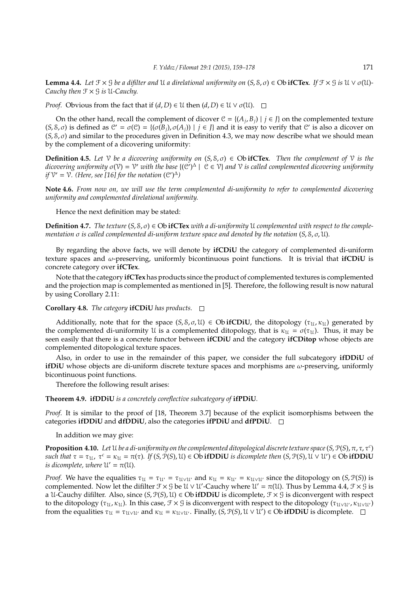**Lemma 4.4.** Let  $\mathcal{F} \times \mathcal{G}$  be a difilter and  $\mathcal{U}$  a direlational uniformity on  $(S, \mathcal{S}, \sigma) \in \mathbb{O}$  **if CTex**. If  $\mathcal{F} \times \mathcal{G}$  is  $\mathcal{U} \vee \sigma(\mathcal{U})$ -*Cauchy then* F × G *is* U*-Cauchy.*

*Proof.* Obvious from the fact that if  $(d, D) \in U$  then  $(d, D) \in U \vee \sigma(U)$ .  $\square$ 

On the other hand, recall the complement of dicover  $\mathcal{C} = \{(A_j, B_j) | j \in J\}$  on the complemented texture  $(S, S, \sigma)$  is defined as  $C' = \sigma(C) = \{(\sigma(B_j), \sigma(A_j)) | j \in J\}$  and it is easy to verify that C' is also a dicover on  $(S, S, \sigma)$  and similar to the procedures given in Definition 4.3, we may now describe what we should mean by the complement of a dicovering uniformity:

**Definition 4.5.** Let  $\mathcal V$  be a dicovering uniformity on  $(S, S, \sigma) \in \text{Ob}$  **ifCTex**. Then the complement of  $\mathcal V$  is the *dicovering uniformity* σ(V) = V <sup>0</sup> *with the base* {(C 0 ) ∆ | C ∈ V} *and* V *is called complemented dicovering uniformity if*  $V' = V$ . (Here, see [16] for the notation  $(C')^{\Delta}$ )

**Note 4.6.** *From now on, we will use the term complemented di-uniformity to refer to complemented dicovering uniformity and complemented direlational uniformity.*

Hence the next definition may be stated:

**Definition 4.7.** *The texture*  $(S, \mathcal{S}, \sigma) \in \text{Ob }$  **ifCTex** *with a di-uniformity* U *complemented with respect to the complementation* σ *is called complemented di-uniform texture space and denoted by the notation* (*S*, S, σ, U)*.*

By regarding the above facts, we will denote by **ifCDiU** the category of complemented di-uniform texture spaces and ω-preserving, uniformly bicontinuous point functions. It is trivial that **ifCDiU** is concrete category over **ifCTex**.

Note that the category **ifCTex** has products since the product of complemented textures is complemented and the projection map is complemented as mentioned in [5]. Therefore, the following result is now natural by using Corollary 2.11:

**Corollary 4.8.** *The category* **ifCDiU** *has products.*

Additionally, note that for the space  $(S, S, \sigma, \mathcal{U}) \in \text{Ob } \textbf{ifCDiU}$ , the ditopology  $(\tau_{\mathcal{U}}, \kappa_{\mathcal{U}})$  generated by the complemented di-uniformity U is a complemented ditopology, that is  $\kappa_{\mathcal{U}} = \sigma(\tau_{\mathcal{U}})$ . Thus, it may be seen easily that there is a concrete functor between **ifCDiU** and the category **ifCDitop** whose objects are complemented ditopological texture spaces.

Also, in order to use in the remainder of this paper, we consider the full subcategory **ifDDiU** of **ifDiU** whose objects are di-uniform discrete texture spaces and morphisms are ω-preserving, uniformly bicontinuous point functions.

Therefore the following result arises:

**Theorem 4.9. ifDDiU** *is a concretely coreflective subcategory of* **ifPDiU***.*

*Proof.* It is similar to the proof of [18, Theorem 3.7] because of the explicit isomorphisms between the categories **ifDDiU** and **dfDDiU**, also the categories **ifPDiU** and **dfPDiU**.

In addition we may give:

**Proposition 4.10.** *Let* U *be a di-uniformity on the complemented ditopological discrete texture space*(*S*, P(*S*), π, τ, τ*<sup>c</sup>* )  $such$  that  $\tau = \tau_{\mathfrak{U}}$ ,  $\tau^c = \kappa_{\mathfrak{U}} = \pi(\tau)$ . If  $(S, \mathcal{P}(S), \mathcal{U}) \in \mathbf{Ob}$  **ifDDiU** *is dicomplete then*  $(S, \mathcal{P}(S), \mathcal{U} \vee \mathcal{U}') \in \mathbf{Ob}$  **ifDDiU** *is dicomplete, where*  $U' = \pi(U)$ *.* 

*Proof.* We have the equalities  $\tau_u = \tau_{u'} = \tau_{u \lor u'}$  and  $\kappa_u = \kappa_{u'} = \kappa_{u \lor u'}$  since the ditopology on (*S*,  $P(S)$ ) is complemented. Now let the difilter  $\mathcal{F} \times \mathcal{G}$  be  $\mathcal{U} \vee \mathcal{U}'$ -Cauchy where  $\mathcal{U}' = \pi(\mathcal{U})$ . Thus by Lemma 4.4,  $\mathcal{F} \times \mathcal{G}$  is a U-Cauchy difilter. Also, since  $(S, \mathcal{P}(S), \mathcal{U}) \in \text{Ob } \textbf{if} \textbf{DDi} \textbf{U}$  is dicomplete,  $\mathcal{F} \times \mathcal{G}$  is diconvergent with respect to the ditopology ( $\tau_u$ ,  $\kappa_u$ ). In this case,  $\mathcal{F} \times \mathcal{G}$  is diconvergent with respect to the ditopology ( $\tau_{u\vee u'}$ ,  $\kappa_{u\vee u'}$ ) from the equalities  $\tau_u = \tau_{u \vee u'}$  and  $\kappa_u = \kappa_{u \vee u'}$ . Finally,  $(S, \mathcal{P}(S), u \vee u') \in \text{Ob } \mathbf{if} \mathbf{D} \mathbf{Di} \mathbf{U}$  is dicomplete.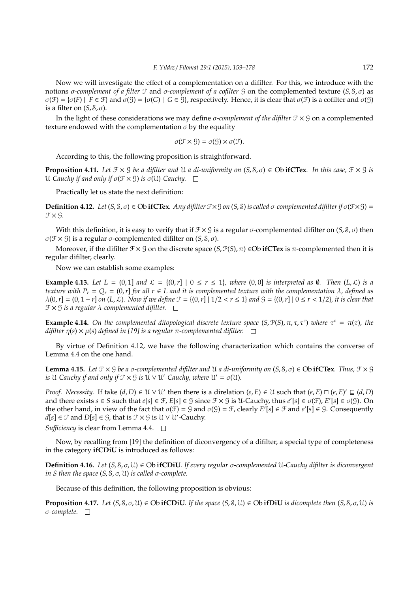Now we will investigate the effect of a complementation on a difilter. For this, we introduce with the notions σ*-complement of a filter* F and σ*-complement of a cofilter* G on the complemented texture (*S*, S, σ) as  $\sigma(\mathcal{F}) = {\sigma(F) \mid F \in \mathcal{F}}$  and  $\sigma(\mathcal{G}) = {\sigma(G) \mid G \in \mathcal{G}}$ , respectively. Hence, it is clear that  $\sigma(\mathcal{F})$  is a cofilter and  $\sigma(\mathcal{G})$ is a filter on  $(S, \mathcal{S}, \sigma)$ .

In the light of these considerations we may define σ*-complement of the difilter* F × G on a complemented texture endowed with the complementation  $\sigma$  by the equality

$$
\sigma(\mathcal{F}\times \mathcal{G})=\sigma(\mathcal{G})\times \sigma(\mathcal{F}).
$$

According to this, the following proposition is straightforward.

**Proposition 4.11.** Let  $\mathcal{F} \times \mathcal{G}$  be a difilter and  $\mathcal{U}$  a di-uniformity on  $(S, \mathcal{S}, \sigma) \in \mathcal{O}$ b **ifCTex**. In this case,  $\mathcal{F} \times \mathcal{G}$  is U-Cauchy if and only if  $\sigma(\mathcal{F} \times \mathcal{G})$  *is*  $\sigma(\mathcal{U})$ -Cauchy.  $\Box$ 

Practically let us state the next definition:

**Definition 4.12.** *Let* (*S*, *S*, *σ*) ∈ Ob **ifCTex***. Any difilter*  $\mathcal{F} \times \mathcal{G}$  *on* (*S*, *S*) *is called σ*-*complemented difilter if*  $\sigma$ ( $\mathcal{F} \times \mathcal{G}$ ) =  $f \times g$ .

With this definition, it is easy to verify that if  $\mathcal{F} \times \mathcal{G}$  is a regular  $\sigma$ -complemented difilter on  $(S, \mathcal{S}, \sigma)$  then σ(F × G) is a regular σ-complemented difilter on (*S*, S, σ).

Moreover, if the difilter  $\mathcal{F} \times \mathcal{G}$  on the discrete space  $(S, \mathcal{P}(S), \pi) \in \text{Ob } \textbf{if} \textbf{CTex}$  is  $\pi$ -complemented then it is regular difilter, clearly.

Now we can establish some examples:

**Example 4.13.** Let  $L = (0,1]$  and  $\mathcal{L} = \{(0,r] \mid 0 \le r \le 1\}$ , where  $(0,0]$  is interpreted as  $\emptyset$ . Then  $(L,\mathcal{L})$  is a *texture with*  $P_r = Q_r = (0, r)$  *for all*  $r \in L$  *and it is complemented texture with the complementation*  $\lambda$ *, defined as*  $\lambda(0,r] = (0,1-r]$  on  $(L,\mathcal{L})$ *. Now if we define*  $\mathcal{F} = \{(0,r] \mid 1/2 < r \leq 1\}$  and  $\mathcal{G} = \{(0,r] \mid 0 \leq r < 1/2\}$ *, it is clear that* F × G *is a regular* λ*-complemented difilter.*

**Example 4.14.** On the complemented ditopological discrete texture space  $(S, P(S), \pi, \tau, \tau^c)$  where  $\tau^c = \pi(\tau)$ , the  $dif\$ ilter  $\eta(s) \times \mu(s)$  *defined in* [19] is a regular  $\pi$ -complemented difilter.  $\square$ 

By virtue of Definition 4.12, we have the following characterization which contains the converse of Lemma 4.4 on the one hand.

**Lemma 4.15.** *Let*  $\mathcal{F} \times \mathcal{G}$  *be a σ*-complemented difilter and  $\mathcal{U}$  *a di-uniformity on*  $(S, \mathcal{S}, \sigma) \in \text{Ob } \textbf{if} \textbf{CTex}$ *. Thus,*  $\mathcal{F} \times \mathcal{G}$ *is* U-Cauchy if and only if  $\mathfrak{F}\times\mathfrak{S}$  is  $\mathfrak{U}\vee\mathfrak{U}'$ -Cauchy, where  $\mathfrak{U}'=\sigma(\mathfrak{U})$ .

*Proof. Necessity.* If take  $(d, D) \in U \vee U'$  then there is a direlation  $(e, E) \in U$  such that  $(e, E) \cap (e, E)' \subseteq (d, D)$ and there exists  $s \in S$  such that  $e[s] \in \mathcal{F}$ ,  $E[s] \in \mathcal{G}$  since  $\mathcal{F} \times \mathcal{G}$  is  $\mathcal{U}$ -Cauchy, thus  $e'[s] \in \sigma(\mathcal{F})$ ,  $E'[s] \in \sigma(\mathcal{G})$ . On the other hand, in view of the fact that  $\sigma(\mathcal{F}) = \mathcal{G}$  and  $\sigma(\mathcal{G}) = \mathcal{F}$ , clearly  $E'[s] \in \mathcal{F}$  and  $e'[s] \in \mathcal{G}$ . Consequently *d*[*s*] ∈ *f* and *D*[*s*] ∈ *G*, that is *f* × *G* is *U* ∨ *U*′-Cauchy.

*Sufficiency* is clear from Lemma 4.4.  $\Box$ 

Now, by recalling from [19] the definition of diconvergency of a difilter, a special type of completeness in the category **ifCDiU** is introduced as follows:

**Definition 4.16.** *Let* (*S*, S, σ, U) ∈ Ob **ifCDiU***. If every regular* σ*-complemented* U*-Cauchy difilter is diconvergent in S then the space* (*S*, S, σ, U) *is called* σ*-complete.*

Because of this definition, the following proposition is obvious:

**Proposition 4.17.** Let  $(S, S, \sigma, \mathcal{U}) \in \text{Ob } \textbf{ifCDiU}$ . If the space  $(S, S, \mathcal{U}) \in \text{Ob } \textbf{ifDiv } \textbf{is}$  dicomplete then  $(S, S, \sigma, \mathcal{U})$  is σ*-complete.*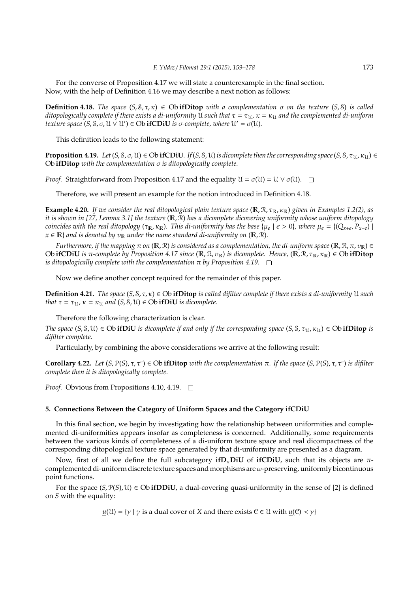For the converse of Proposition 4.17 we will state a counterexample in the final section. Now, with the help of Definition 4.16 we may describe a next notion as follows:

**Definition 4.18.** *The space*  $(S, S, \tau, \kappa) \in$  **Ob ifDitop** *with a complementation*  $\sigma$  *on the texture*  $(S, S)$  *is called ditopologically complete if there exists a di-uniformity* U *such that*  $\tau = \tau_{1}$ ,  $\kappa = \kappa_{1}$  *and the complemented di-uniform texture space*  $(S, S, \sigma, \mathcal{U} \vee \mathcal{U}') \in \text{Ob } \textbf{ifCDiU}$  *is*  $\sigma$ *-complete, where*  $\mathcal{U}' = \sigma(\mathcal{U})$ *.* 

This definition leads to the following statement:

**Proposition 4.19.** *Let*  $(S, S, \sigma, \mathcal{U}) \in \text{Ob } \textbf{ifCDiU}$ *. If*( $S, \mathcal{S}, \mathcal{U}$ )*is dicomplete then the corresponding space*  $(S, \mathcal{S}, \tau_{1L}, \kappa_{1L}) \in$ Ob **ifDitop** *with the complementation* σ *is ditopologically complete.*

*Proof.* Straightforward from Proposition 4.17 and the equality  $\mathcal{U} = \sigma(\mathcal{U}) = \mathcal{U} \vee \sigma(\mathcal{U})$ .  $\square$ 

Therefore, we will present an example for the notion introduced in Definition 4.18.

**Example 4.20.** *If we consider the real ditopological plain texture space* ( $\mathbb{R}, \mathcal{R}, \tau_{\mathbb{R}}, \kappa_{\mathbb{R}}$ ) given in Examples 1.2(2), as *it is shown in [27, Lemma 3.1] the texture* (R, R) *has a dicomplete dicovering uniformity whose uniform ditopology coincides with the real ditopology* ( $\tau_R$ ,  $\kappa_R$ ). This di-uniformity has the base { $\mu_{\epsilon} \mid \epsilon > 0$ }, where  $\mu_{\epsilon} = \{ (Q_{x+\epsilon}, P_{x-\epsilon}) \mid$  $x \in \mathbb{R}$  *and is denoted by*  $v_{\mathbb{R}}$  *under the name standard di-uniformity on* ( $\mathbb{R}, \mathbb{R}$ ).

*Furthermore, if the mapping*  $π$  *on* ( $\mathbb{R}, \mathcal{R}$ ) *is considered as a complementation, the di-uniform space* ( $\mathbb{R}, \mathcal{R}, π, \nu_{\mathbb{R}}$ )  $\in$ **Ob ifCDiU** *is* π-complete by Proposition 4.17 since  $(\mathbb{R}, \mathcal{R}, \nu_{\mathbb{R}})$  *is dicomplete. Hence*,  $(\mathbb{R}, \mathcal{R}, \tau_{\mathbb{R}}, \kappa_{\mathbb{R}}) \in$  **Ob ifDitop** *is ditopologically complete with the complementation*  $\pi$  *by Proposition* 4.19.  $\Box$ 

Now we define another concept required for the remainder of this paper.

**Definition 4.21.** *The space* (*S*, S, τ, κ) ∈ Ob **ifDitop** *is called difilter complete if there exists a di-uniformity* U *such that*  $\tau = \tau_{\mathfrak{U}}$ ,  $\kappa = \kappa_{\mathfrak{U}}$  *and*  $(S, \mathcal{S}, \mathcal{U}) \in \text{Ob } \textbf{if} \textbf{DiU}$  *is dicomplete.* 

Therefore the following characterization is clear.

*The space*  $(S, S, U) \in Ob$  **ifDiU** *is dicomplete if and only if the corresponding space*  $(S, S, \tau_{U}, \kappa_{U}) \in Ob$  **ifDitop** *is difilter complete.*

Particularly, by combining the above considerations we arrive at the following result:

**Corollary 4.22.** *Let* (*S*,  $P(S)$ ,  $τ$ ,  $τ$ <sup>*c*</sup>)  $∈$  Ob **ifDitop** *with the complementation*  $π$ *. If the space* (*S*,  $P(S)$ ,  $τ$ ,  $τ$ <sup>*c*</sup>) *is difilter complete then it is ditopologically complete.*

*Proof.* Obvious from Propositions 4.10, 4.19. □

# **5. Connections Between the Category of Uniform Spaces and the Category ifCDiU**

In this final section, we begin by investigating how the relationship between uniformities and complemented di-uniformities appears insofar as completeness is concerned. Additionally, some requirements between the various kinds of completeness of a di-uniform texture space and real dicompactness of the corresponding ditopological texture space generated by that di-uniformity are presented as a diagram.

Now, first of all we define the full subcategory **ifD**π**DiU** of **ifCDiU**, such that its objects are πcomplemented di-uniform discrete texture spaces and morphisms are  $\omega$ -preserving, uniformly bicontinuous point functions.

For the space  $(S, \mathcal{P}(S), \mathcal{U}) \in \text{Ob } \textbf{if} \textbf{DDiU}$ , a dual-covering quasi-uniformity in the sense of [2] is defined on *S* with the equality:

 $u(\mathfrak{U}) = \{ \gamma \mid \gamma \text{ is a dual cover of } X \text{ and there exists } \mathfrak{C} \in \mathfrak{U} \text{ with } u(\mathfrak{C}) \prec \gamma \}$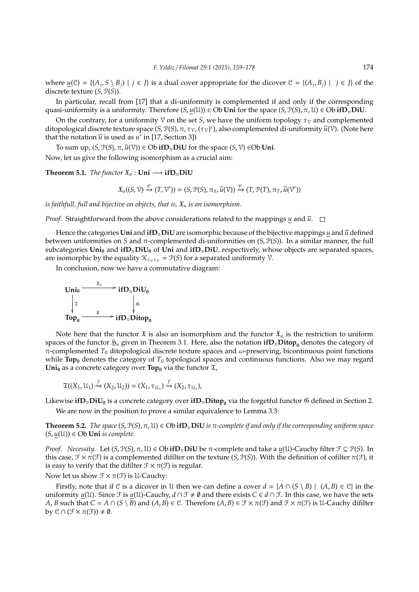where  $\underline{u}(\mathcal{C}) = \{(A_j, S \setminus B_j) \mid j \in J\}$  is a dual cover appropriate for the dicover  $\mathcal{C} = \{(A_j, B_j) \mid j \in J\}$  of the discrete texture (*S*, P(*S*)).

In particular, recall from [17] that a di-uniformity is complemented if and only if the corresponding quasi-uniformity is a uniformity. Therefore  $(S, u(\mathcal{U})) \in Ob$  **Uni** for the space  $(S, \mathcal{P}(S), \pi, \mathcal{U}) \in Ob$  **ifD**<sub>*n*</sub> **DiU**.

On the contrary, for a uniformity  $\mathcal V$  on the set *S*, we have the uniform topology  $\tau_{\mathcal V}$  and complemented ditopological discrete texture space (*S*, *P*(*S*), π, τ<sub>ν</sub>, (τ<sub>ν</sub>)<sup>*c*</sup>), also complemented di-uniformity  $\bar{u}$ (<sup>γ</sup>). (Note here that the notation  $\overline{u}$  is used as  $u^*$  in [17, Section 3])

To sum up,  $(S, \mathcal{P}(S), \pi, \overline{u}(\mathcal{V})) \in \text{Ob } \mathbf{if} \mathbf{D}_{\pi} \mathbf{Di} \mathbf{U}$  for the space  $(S, \mathcal{V}) \in \text{Ob } \mathbf{Uni}$ .

Now, let us give the following isomorphism as a crucial aim:

**Theorem 5.1.** *The functor*  $\mathfrak{X}_u$  : **Uni**  $\longrightarrow$  **ifD**<sub> $\pi$ </sub>**DiU** 

$$
\mathfrak{X}_{u}((S,\mathcal{V})\xrightarrow{\varphi}(T,\mathcal{V}'))=(S,\mathcal{P}(S),\pi_S,\overline{u}(\mathcal{V}))\xrightarrow{\varphi}(T,\mathcal{P}(T),\pi_T,\overline{u}(\mathcal{V}'))
$$

*is faithfull, full and bijective on objects, that is,*  $\mathfrak{X}_u$  *is an isomorphism.* 

*Proof.* Straightforward from the above considerations related to the mappings *u* and  $\overline{u}$ .  $\square$ 

Hence the categories **Uni** and **ifD**<sub>*n*</sub> DiU</sub> are isomorphic because of the bijective mappings *u* and  $\overline{u}$  defined between uniformities on *S* and  $\pi$ -complemented di-uniformities on (*S*,  $\mathcal{P}(S)$ ). In a similar manner, the full subcategories  $\text{Uni}_0$  and  $\textbf{ifD}_\pi \text{DiU}_0$  of  $\text{Uni}$  and  $\textbf{ifD}_\pi \text{DiU}_r$ , respectively, whose objects are separated spaces, are isomorphic by the equality  $\mathcal{K}_{\tau \nu \tau \nu} = \mathcal{P}(S)$  for a separated uniformity  $\mathcal{V}$ .

In conclusion, now we have a commutative diagram:



Note here that the functor  $\mathfrak X$  is also an isomorphism and the functor  $\mathfrak X_u$  is the restriction to uniform spaces of the functor  $\mathfrak{H}_u$  given in Theorem 3.1. Here, also the notation  $\mathbf{ifD}_{\pi}\mathbf{D}$  denotes the category of π-complemented *T*<sup>0</sup> ditopological discrete texture spaces and ω-preserving, bicontinuous point functions while **Top**<sup>0</sup> denotes the category of  $T_0$  topological spaces and continuous functions. Also we may regard **Uni**<sub>0</sub> as a concrete category over **Top**<sub>0</sub> via the functor  $\mathfrak{T}$ ,

$$
\mathfrak{T}((X_1,\mathfrak{U}_1)\stackrel{f}{\rightarrow}(X_2,\mathfrak{U}_2))=(X_1,\tau_{\mathfrak{U}_1})\stackrel{f}{\rightarrow}(X_2,\tau_{\mathfrak{U}_2}),
$$

Likewise **ifD**π**DiU<sup>0</sup>** is a concrete category over **ifD**π**Ditop<sup>0</sup>** via the forgetful functor G defined in Section 2.

We are now in the position to prove a similar equivalence to Lemma 3.3:

**Theorem 5.2.** *The space* (*S*,  $\mathcal{P}(S)$ ,  $\pi$ ,  $\mathcal{U}$ )  $\in$  Ob **ifD**<sub> $\pi$ </sub>DiU *is*  $\pi$ -complete if and only if the corresponding uniform space  $(S, u(U)) ∈ Ob$  **Uni** *is complete.* 

*Proof. Necessity.* Let  $(S, P(S), π, U) ∈ Ob$ **ifD**<sub>π</sub>**DiU** be π-complete and take a <u>*u*</u>(U)-Cauchy filter  $\mathcal{F} ⊆ P(S)$ . In this case,  $\mathcal{F} \times \pi(\mathcal{F})$  is a complemented difilter on the texture (*S*,  $\mathcal{P}(S)$ ). With the definition of cofilter  $\pi(\mathcal{F})$ , it is easy to verify that the difilter  $\mathcal{F} \times \pi(\mathcal{F})$  is regular.

Now let us show  $\mathcal{F} \times \pi(\mathcal{F})$  is U-Cauchy:

Firstly, note that if C is a dicover in U then we can define a cover  $d = \{A \cap (S \setminus B) \mid (A, B) \in \mathbb{C}\}$  in the uniformity  $u(\mathfrak{U})$ . Since  $\mathfrak{F}$  is  $u(\mathfrak{U})$ -Cauchy,  $d \cap \mathfrak{F} \neq \emptyset$  and there exists  $C \in d \cap \mathfrak{F}$ . In this case, we have the sets *A*, *B* such that  $C = A \cap (S \setminus B)$  and  $(A, B) \in C$ . Therefore  $(A, B) \in \mathcal{F} \times \pi(\mathcal{F})$  and  $\mathcal{F} \times \pi(\mathcal{F})$  is U-Cauchy difilter by  $\mathcal{C} \cap (\mathcal{F} \times \pi(\mathcal{F})) \neq \emptyset$ .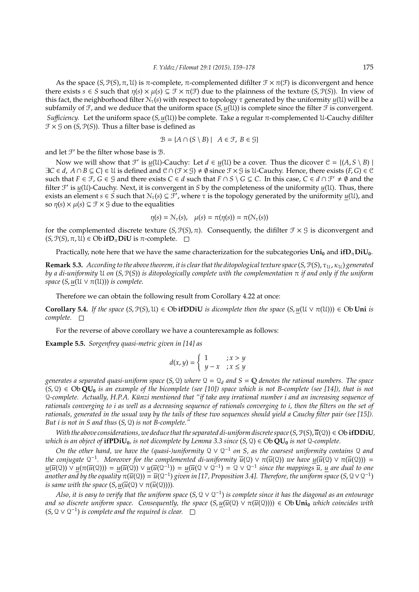As the space  $(S, \mathcal{P}(S), \pi, \mathcal{U})$  is  $\pi$ -complete,  $\pi$ -complemented difilter  $\mathcal{F} \times \pi(\mathcal{F})$  is diconvergent and hence there exists  $s \in S$  such that  $\eta(s) \times \mu(s) \subseteq \mathcal{F} \times \pi(\mathcal{F})$  due to the plainness of the texture  $(S, \mathcal{P}(S))$ . In view of this fact, the neighborhood filter  $N_\tau(s)$  with respect to topology  $\tau$  generated by the uniformity  $u(1)$  will be a subfamily of  $\mathcal{F}$ , and we deduce that the uniform space  $(S, u(\mathcal{U}))$  is complete since the filter  $\mathcal{F}$  is convergent. *Sufficiency.* Let the uniform space  $(S, u(\mathcal{U}))$  be complete. Take a regular  $\pi$ -complemented U-Cauchy difilter  $\mathcal{F} \times \mathcal{G}$  on  $(S, \mathcal{P}(S))$ . Thus a filter base is defined as

$$
\mathcal{B} = \{ A \cap (S \setminus B) \mid A \in \mathcal{F}, B \in \mathcal{G} \}
$$

and let  $\mathcal{F}'$  be the filter whose base is  $\mathcal{B}$ .

Now we will show that  $\mathcal{F}'$  is  $\underline{u}(\mathcal{U})$ -Cauchy: Let  $d \in \underline{u}(\mathcal{U})$  be a cover. Thus the dicover  $\mathcal{C} = \{(A, S \setminus B) \mid \mathcal{U}\}$  $\exists C \in d$ ,  $A \cap B \subseteq C$   $\in U$  is defined and  $C \cap (\mathcal{F} \times \mathcal{G}) \neq \emptyset$  since  $\mathcal{F} \times \mathcal{G}$  is U-Cauchy. Hence, there exists  $(F, G) \in \mathcal{C}$ such that  $F \in \mathcal{F}$ ,  $G \in \mathcal{G}$  and there exists  $C \in d$  such that  $F \cap S \setminus G \subseteq C$ . In this case,  $C \in d \cap \mathcal{F}' \neq \emptyset$  and the filter  $\mathcal{F}'$  is  $\mu(\mathcal{U})$ -Cauchy. Next, it is convergent in *S* by the completeness of the uniformity  $\mu(\mathcal{U})$ . Thus, there exists an element  $s \in S$  such that  $\mathcal{N}_\tau(s) \subseteq \mathcal{F}'$ , where  $\tau$  is the topology generated by the uniformity  $u(\mathcal{U})$ , and so  $\eta(s) \times \mu(s) \subseteq \mathcal{F} \times \mathcal{G}$  due to the equalities

$$
\eta(s) = \mathcal{N}_{\tau}(s), \quad \mu(s) = \pi(\eta(s)) = \pi(\mathcal{N}_{\tau}(s))
$$

for the complemented discrete texture  $(S, \mathcal{P}(S), \pi)$ . Consequently, the difilter  $\mathcal{F} \times \mathcal{G}$  is diconvergent and  $(S, \mathcal{P}(S), \pi, \mathcal{U}) \in \mathrm{Ob} \mathbf{i} \mathbf{f} \mathbf{D}_{\pi} \mathbf{D} \mathbf{i} \mathbf{U}$  is  $\pi$ -complete.  $\square$ 

Practically, note here that we have the same characterization for the subcategories  $\text{Uni}_0$  and  $\textbf{ifD}_n\text{DiU}_0$ .

**Remark 5.3.** *According to the above theorem, it is clear that the ditopological texture space* (*S*,  $P(S)$ , τ<sub>U</sub>, κ<sub>U</sub>) *generated by a di-uniformity* U *on* (*S*, P(*S*)) *is ditopologically complete with the complementation* π *if and only if the uniform space*  $(S, u(U \vee \pi(U)))$  *is complete.* 

Therefore we can obtain the following result from Corollary 4.22 at once:

**Corollary 5.4.** *If the space*  $(S, \mathcal{P}(S), \mathcal{U}) \in \text{Ob } \textbf{ifDDiU}$  *is dicomplete then the space*  $(S, u(\mathcal{U} \vee \pi(\mathcal{U}))) \in \text{Ob } \textbf{Uni}$  *is complete.*

For the reverse of above corollary we have a counterexample as follows:

**Example 5.5.** *Sorgenfrey quasi-metric given in [14] as*

$$
d(x, y) = \begin{cases} 1 & ; x > y \\ y - x & ; x \le y \end{cases}
$$

*generates a separated quasi-uniform space*  $(S, Q)$  *where*  $Q = Q_d$  *and*  $S = Q$  *denotes the rational numbers. The space*  $(S, Q) \in Ob$  **QU**<sub>0</sub> *is an example of the bicomplete (see [10]) space which is not B-complete (see [14]), that is not* Q-complete. Actually, H.P.A. Künzi mentioned that "if take any irrational number *i* and an increasing sequence of *rationals converging to i as well as a decreasing sequence of rationals converging to i, then the filters on the set of rationals, generated in the usual way by the tails of these two sequences should yield a Cauchy filter pair (see [15]). But i is not in S and thus* (*S*, Q) *is not B-complete."*

*With the above considerations, we deduce that the separated di-uniform discrete space*  $(S, \mathcal{P}(S), \overline{u}(Q)) \in Ob$  **if DDiU***, which is an object of*  $\mathbf{ifPDiU}_0$ *, is not dicomplete by Lemma 3.3 since*  $(S, \mathcal{Q}) \in \mathbf{Ob}\mathbf{QU}_0$  *is not*  $\mathcal{Q}\text{-complete}$ .

*On the other hand, we have the (quasi-)uniformity*  $Q ∨ Q^{-1}$  *on S, as the coarsest uniformity contains*  $Q$  *and the conjugate*  $Q^{-1}$ *. Moreover for the complemented di-uniformity*  $\overline{u}(Q) \vee \pi(\overline{u}(Q))$  *we have*  $u(\overline{u}(Q) \vee \pi(\overline{u}(Q)))$  =  $u(\overline{u}(\mathfrak{Q})) \vee u(\pi(\overline{u}(\mathfrak{Q}))) = u(\overline{u}(\mathfrak{Q}) \vee u(\overline{u}(\mathfrak{Q}^{-1})) = u(\overline{u}(\mathfrak{Q} \vee \mathfrak{Q}^{-1}) = \mathfrak{Q} \vee \mathfrak{Q}^{-1}$  since the mappings  $\overline{u}$ , <u>u</u> are dual to one  $\overline{u}$  *another and by the equality*  $\pi(\overline{u}(Q))=\overline{u}(Q^{-1})$  given in [17, Proposition 3.4]. Therefore, the uniform space (S, Q  $\vee$  Q $^{-1}$ ) *is same with the space*  $(S, u(\overline{u}(\mathcal{Q}) \vee \pi(\overline{u}(\mathcal{Q}))))$ .

*Also, it is easy to verify that the uniform space* (*S*, Q ∨ Q −1 ) *is complete since it has the diagonal as an entourage and so discrete uniform space. Consequently, the space*  $(S, u(\bar{u}(\Omega) \vee \pi(\bar{u}(\Omega)))) \in Ob$  **Uni**<sub>0</sub> *which coincides with*  $(S, Q \vee Q^{-1})$  is complete and the required is clear.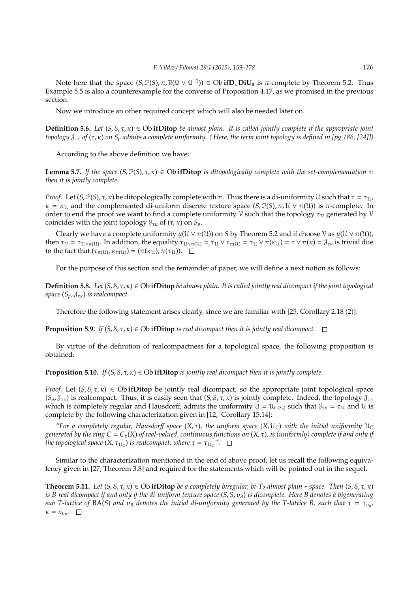Note here that the space  $(S, \mathcal{P}(S), \pi, \overline{u}(\mathcal{Q} \vee \mathcal{Q}^{-1})) \in \mathrm{Ob} \, \mathbf{i} \mathbf{f} \mathbf{D}_{\pi} \mathbf{Di} \mathbf{U}_0$  is  $\pi$ -complete by Theorem 5.2. Thus Example 5.5 is also a counterexample for the converse of Proposition 4.17, as we promised in the previous section.

Now we introduce an other required concept which will also be needed later on.

**Definition 5.6.** *Let*  $(S, S, \tau, \kappa) \in \text{Ob if}$ **Ditop** *be almost plain. It is called jointly complete if the appropriate joint topology*  $\mathcal{J}_{\tau\kappa}$  *of* ( $\tau$ ,  $\kappa$ ) *on*  $S_p$  *admits a complete uniformity.* (*Here, the term joint topology is defined in [pg 186, [24]]*)

According to the above definition we have:

**Lemma 5.7.** *If the space*  $(S, P(S), \tau, \kappa) \in Ob$  **ifDitop** *is ditopologically complete with the set-complementation* π *then it is jointly complete.*

*Proof.* Let  $(S, \mathcal{P}(S), \tau, \kappa)$  be ditopologically complete with  $\pi$ . Thus there is a di-uniformity U such that  $\tau = \tau_{1}$ ,  $\kappa = \kappa_{\mathfrak{U}}$  and the complemented di-uniform discrete texture space  $(S, \mathcal{P}(S), \pi, \mathcal{U} \vee \pi(\mathcal{U}))$  is  $\pi$ -complete. In order to end the proof we want to find a complete uniformity  $\mathcal V$  such that the topology  $\tau_{\mathcal V}$  generated by  $\mathcal V$ coincides with the joint topology  $\mathcal{J}_{\tau\kappa}$  of  $(\tau, \kappa)$  on  $S_p$ .

Clearly we have a complete uniformity  $u(U \vee \pi(U))$  on *S* by Theorem 5.2 and if choose  $\mathcal V$  as  $u(U \vee \pi(U))$ , then  $\tau_v = \tau_{\mathfrak{U} \vee \pi(\mathfrak{U})}$ . In addition, the equality  $\tau_{\mathfrak{U} \vee \pi(\mathfrak{U})} = \tau_{\mathfrak{U}} \vee \tau_{\pi(\mathfrak{U})} = \tau_{\mathfrak{U}} \vee \pi(\kappa_{\mathfrak{U}}) = \tau \vee \pi(\kappa) = \mathfrak{J}_{\tau\kappa}$  is trivial due to the fact that  $(\tau_{\pi(U)}, \kappa_{\pi(U)}) = (\pi(\kappa_U), \pi(\tau_U)).$ 

For the purpose of this section and the remainder of paper, we will define a next notion as follows:

**Definition 5.8.** *Let* (*S*, S, τ, κ) ∈ Ob **ifDitop** *be almost plain. It is called jointly real dicompact if the joint topological space*  $(S_p, \mathcal{J}_{\tau\kappa})$  *is realcompact.* 

Therefore the following statement arises clearly, since we are familiar with [25, Corollary 2.18 (2)]:

**Proposition 5.9.** *If*  $(S, \delta, \tau, \kappa) \in \text{Ob } \mathbf{if}$  **Ditiop** *is real dicompact then it is jointly real dicompact.*  $\square$ 

By virtue of the definition of realcompactness for a topological space, the following proposition is obtained:

**Proposition 5.10.** *If*  $(S, S, \tau, \kappa) \in \text{Ob } \textbf{if}$ **Ditop** *is jointly real dicompact then it is jointly complete.* 

*Proof.* Let  $(S, \delta, \tau, \kappa) \in$  Ob **ifDitop** be jointly real dicompact, so the appropriate joint topological space  $(S_p, \mathcal{J}_{\tau\kappa})$  is realcompact. Thus, it is easily seen that  $(S, \mathcal{S}, \tau, \kappa)$  is jointly complete. Indeed, the topology  $\mathcal{J}_{\tau\kappa}$ which is completely regular and Hausdorff, admits the uniformity  $\mathcal{U} = \mathcal{U}_{C(S_n)}$  such that  $\mathcal{J}_{\tau\kappa} = \tau_{\mathcal{U}}$  and  $\mathcal{U}$  is complete by the following characterization given in [12, Corollary 15.14]:

*"For a completely regular, Hausdorff space*  $(X, \tau)$ *, the uniform space*  $(X, \mathcal{U}_C)$  *with the initial uniformity*  $\mathcal{U}_C$ *generated by the ring C* = *C*τ(*X*) *of real-valued, continuous functions on* (*X*, τ)*, is (uniformly) complete if and only if the topological space*  $(X,\tau_{\mathfrak{U}_C})$  *is realcompact, where*  $\tau=\tau_{\mathfrak{U}_C}$  *".* 

Similar to the characterization mentioned in the end of above proof, let us recall the following equivalency given in [27, Theorem 3.8] and required for the statements which will be pointed out in the sequel.

**Theorem 5.11.** *Let*  $(S, S, \tau, \kappa) \in \text{Ob } \textbf{if}$  **Ditop** *be a completely biregular, bi-T*<sub>2</sub> *almost plain* \*-space. *Then*  $(S, S, \tau, \kappa)$ *is B-real dicompact if and only if the di-uniform texture space* (*S*, S, υ*B*) *is dicomplete. Here B denotes a bigenerating*  $s$ ub T-lattice of  $\text{BA}(S)$  and  $v_B$  denotes the initial di-uniformity generated by the T-lattice B, such that  $\tau=\tau_{v_B}$ ,  $\kappa = \kappa_{v_B}$ .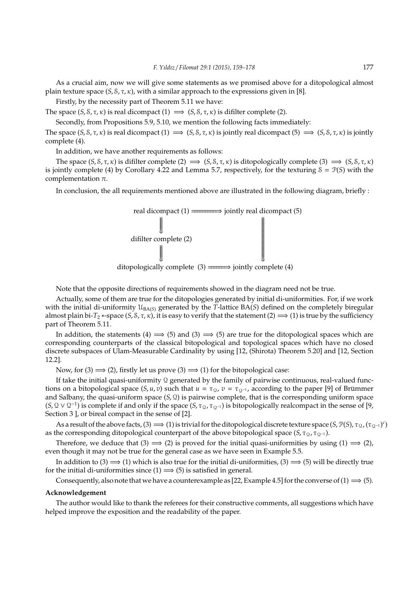As a crucial aim, now we will give some statements as we promised above for a ditopological almost plain texture space  $(S, S, \tau, \kappa)$ , with a similar approach to the expressions given in [8].

Firstly, by the necessity part of Theorem 5.11 we have:

The space  $(S, S, \tau, \kappa)$  is real dicompact  $(1) \implies (S, S, \tau, \kappa)$  is difilter complete (2).

Secondly, from Propositions 5.9, 5.10, we mention the following facts immediately:

The space  $(S, S, \tau, \kappa)$  is real dicompact  $(1) \implies (S, S, \tau, \kappa)$  is jointly real dicompact  $(5) \implies (S, S, \tau, \kappa)$  is jointly complete (4).

In addition, we have another requirements as follows:

The space  $(S, \delta, \tau, \kappa)$  is difilter complete  $(2) \implies (S, \delta, \tau, \kappa)$  is ditopologically complete  $(3) \implies (S, \delta, \tau, \kappa)$ is jointly complete (4) by Corollary 4.22 and Lemma 5.7, respectively, for the texturing  $S = \mathcal{P}(S)$  with the complementation  $\pi$ .

In conclusion, the all requirements mentioned above are illustrated in the following diagram, briefly :



Note that the opposite directions of requirements showed in the diagram need not be true.

Actually, some of them are true for the ditopologies generated by initial di-uniformities. For, if we work with the initial di-uniformity  $\mathcal{U}_{\text{BAG}}$  generated by the *T*-lattice BA(*S*) defined on the completely biregular almost plain bi-*T*<sub>2</sub> ∗-space (*S*, *S*,  $\tau$ ,  $\kappa$ ), it is easy to verify that the statement (2)  $\implies$  (1) is true by the sufficiency part of Theorem 5.11.

In addition, the statements (4)  $\implies$  (5) and (3)  $\implies$  (5) are true for the ditopological spaces which are corresponding counterparts of the classical bitopological and topological spaces which have no closed discrete subspaces of Ulam-Measurable Cardinality by using [12, (Shirota) Theorem 5.20] and [12, Section 12.2].

Now, for (3)  $\implies$  (2), firstly let us prove (3)  $\implies$  (1) for the bitopological case:

If take the initial quasi-uniformity 2 generated by the family of pairwise continuous, real-valued functions on a bitopological space (*S*, *u*, *v*) such that  $u = \tau_{\Omega}$ ,  $v = \tau_{\Omega^{-1}}$ , according to the paper [9] of Brümmer and Salbany, the quasi-uniform space  $(S, \mathcal{Q})$  is pairwise complete, that is the corresponding uniform space  $(S, Q \vee Q^{-1})$  is complete if and only if the space  $(S, \tau_Q, \tau_{Q^{-1}})$  is bitopologically realcompact in the sense of [9, Section 3 ], or bireal compact in the sense of [2].

As a result of the above facts, (3)  $\implies$  (1) is trivial for the ditopological discrete texture space  $(S, \mathcal{P}(S), \tau_{\mathcal{Q}}, (\tau_{\mathcal{Q}^{-1}})^c)$ as the corresponding ditopological counterpart of the above bitopological space  $(S, \tau_Q, \tau_{Q-1})$ .

Therefore, we deduce that (3)  $\implies$  (2) is proved for the initial quasi-uniformities by using (1)  $\implies$  (2), even though it may not be true for the general case as we have seen in Example 5.5.

In addition to (3)  $\implies$  (1) which is also true for the initial di-uniformities, (3)  $\implies$  (5) will be directly true for the initial di-uniformities since  $(1) \implies (5)$  is satisfied in general.

Consequently, also note that we have a counterexample as [22, Example 4.5] for the converse of (1)  $\implies$  (5).

#### **Acknowledgement**

The author would like to thank the referees for their constructive comments, all suggestions which have helped improve the exposition and the readability of the paper.